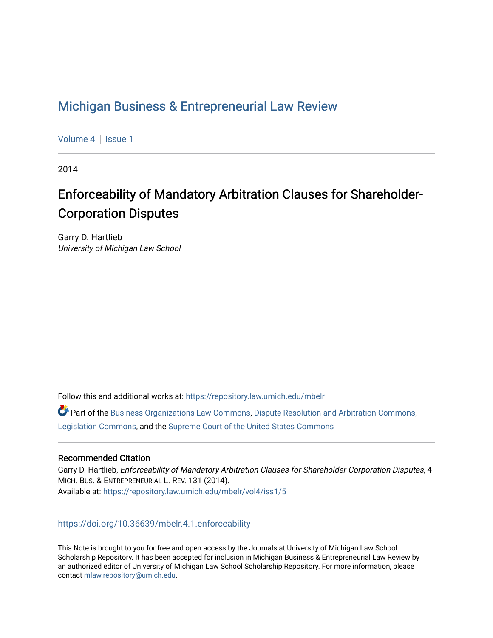# [Michigan Business & Entrepreneurial Law Review](https://repository.law.umich.edu/mbelr)

[Volume 4](https://repository.law.umich.edu/mbelr/vol4) | Issue 1

2014

# Enforceability of Mandatory Arbitration Clauses for Shareholder-Corporation Disputes

Garry D. Hartlieb University of Michigan Law School

Follow this and additional works at: [https://repository.law.umich.edu/mbelr](https://repository.law.umich.edu/mbelr?utm_source=repository.law.umich.edu%2Fmbelr%2Fvol4%2Fiss1%2F5&utm_medium=PDF&utm_campaign=PDFCoverPages)

Part of the [Business Organizations Law Commons](http://network.bepress.com/hgg/discipline/900?utm_source=repository.law.umich.edu%2Fmbelr%2Fvol4%2Fiss1%2F5&utm_medium=PDF&utm_campaign=PDFCoverPages), [Dispute Resolution and Arbitration Commons,](http://network.bepress.com/hgg/discipline/890?utm_source=repository.law.umich.edu%2Fmbelr%2Fvol4%2Fiss1%2F5&utm_medium=PDF&utm_campaign=PDFCoverPages) [Legislation Commons](http://network.bepress.com/hgg/discipline/859?utm_source=repository.law.umich.edu%2Fmbelr%2Fvol4%2Fiss1%2F5&utm_medium=PDF&utm_campaign=PDFCoverPages), and the [Supreme Court of the United States Commons](http://network.bepress.com/hgg/discipline/1350?utm_source=repository.law.umich.edu%2Fmbelr%2Fvol4%2Fiss1%2F5&utm_medium=PDF&utm_campaign=PDFCoverPages) 

# Recommended Citation

Garry D. Hartlieb, Enforceability of Mandatory Arbitration Clauses for Shareholder-Corporation Disputes, 4 MICH. BUS. & ENTREPRENEURIAL L. REV. 131 (2014). Available at: [https://repository.law.umich.edu/mbelr/vol4/iss1/5](https://repository.law.umich.edu/mbelr/vol4/iss1/5?utm_source=repository.law.umich.edu%2Fmbelr%2Fvol4%2Fiss1%2F5&utm_medium=PDF&utm_campaign=PDFCoverPages) 

<https://doi.org/10.36639/mbelr.4.1.enforceability>

This Note is brought to you for free and open access by the Journals at University of Michigan Law School Scholarship Repository. It has been accepted for inclusion in Michigan Business & Entrepreneurial Law Review by an authorized editor of University of Michigan Law School Scholarship Repository. For more information, please contact [mlaw.repository@umich.edu](mailto:mlaw.repository@umich.edu).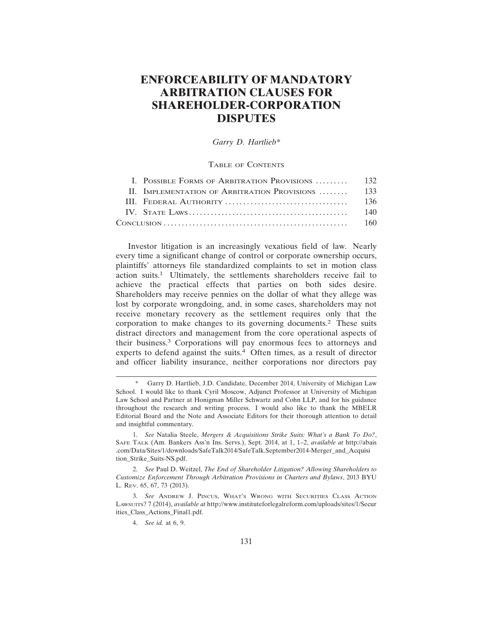# **ENFORCEABILITY OF MANDATORY ARBITRATION CLAUSES FOR SHAREHOLDER-CORPORATION DISPUTES**

## *Garry D. Hartlieb\**

# TABLE OF CONTENTS

| I. POSSIBLE FORMS OF ARBITRATION PROVISIONS  132  |      |
|---------------------------------------------------|------|
| II. IMPLEMENTATION OF ARBITRATION PROVISIONS  133 |      |
|                                                   | 136  |
|                                                   | 140  |
|                                                   | -160 |
|                                                   |      |

Investor litigation is an increasingly vexatious field of law. Nearly every time a significant change of control or corporate ownership occurs, plaintiffs' attorneys file standardized complaints to set in motion class action suits.1 Ultimately, the settlements shareholders receive fail to achieve the practical effects that parties on both sides desire. Shareholders may receive pennies on the dollar of what they allege was lost by corporate wrongdoing, and, in some cases, shareholders may not receive monetary recovery as the settlement requires only that the corporation to make changes to its governing documents.2 These suits distract directors and management from the core operational aspects of their business.3 Corporations will pay enormous fees to attorneys and experts to defend against the suits. $4$  Often times, as a result of director and officer liability insurance, neither corporations nor directors pay

2. *See* Paul D. Weitzel, *The End of Shareholder Litigation? Allowing Shareholders to Customize Enforcement Through Arbitration Provisions in Charters and Bylaws*, 2013 BYU L. REV. 65, 67, 73 (2013).

3. *See* ANDREW J. PINCUS, WHAT'S WRONG WITH SECURITIES CLASS ACTION LAWSUITS? 7 (2014), *available at* http://www.instituteforlegalreform.com/uploads/sites/1/Secur ities\_Class\_Actions\_Final1.pdf.

4. *See id.* at 6, 9.

Garry D. Hartlieb, J.D. Candidate, December 2014, University of Michigan Law School. I would like to thank Cyril Moscow, Adjunct Professor at University of Michigan Law School and Partner at Honigman Miller Schwartz and Cohn LLP, and for his guidance throughout the research and writing process. I would also like to thank the MBELR Editorial Board and the Note and Associate Editors for their thorough attention to detail and insightful commentary.

<sup>1.</sup> *See* Natalia Steele, *Mergers & Acquisitions Strike Suits: What's a Bank To Do?*, SAFE TALK (Am. Bankers Ass'n Ins. Servs.), Sept. 2014, at 1, 1–2, *available at* http://abais .com/Data/Sites/1/downloads/SafeTalk2014/SafeTalk.September2014-Merger\_and\_Acquisi tion\_Strike\_Suits-NS.pdf.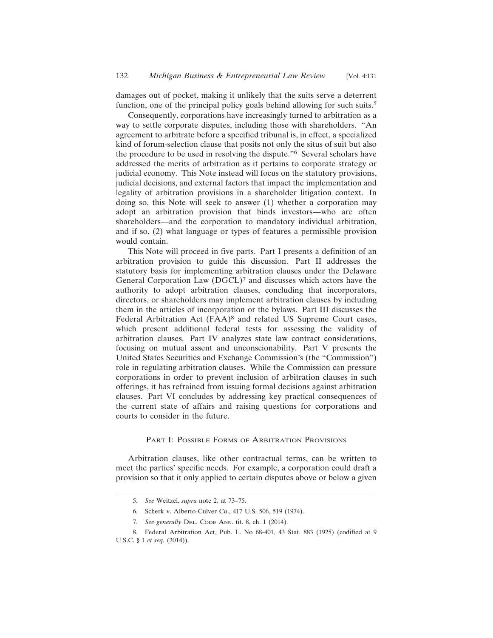damages out of pocket, making it unlikely that the suits serve a deterrent function, one of the principal policy goals behind allowing for such suits.<sup>5</sup>

Consequently, corporations have increasingly turned to arbitration as a way to settle corporate disputes, including those with shareholders. "An agreement to arbitrate before a specified tribunal is, in effect, a specialized kind of forum-selection clause that posits not only the situs of suit but also the procedure to be used in resolving the dispute."6 Several scholars have addressed the merits of arbitration as it pertains to corporate strategy or judicial economy. This Note instead will focus on the statutory provisions, judicial decisions, and external factors that impact the implementation and legality of arbitration provisions in a shareholder litigation context. In doing so, this Note will seek to answer (1) whether a corporation may adopt an arbitration provision that binds investors—who are often shareholders—and the corporation to mandatory individual arbitration, and if so, (2) what language or types of features a permissible provision would contain.

This Note will proceed in five parts. Part I presents a definition of an arbitration provision to guide this discussion. Part II addresses the statutory basis for implementing arbitration clauses under the Delaware General Corporation Law (DGCL)7 and discusses which actors have the authority to adopt arbitration clauses, concluding that incorporators, directors, or shareholders may implement arbitration clauses by including them in the articles of incorporation or the bylaws. Part III discusses the Federal Arbitration Act (FAA)<sup>8</sup> and related US Supreme Court cases, which present additional federal tests for assessing the validity of arbitration clauses. Part IV analyzes state law contract considerations, focusing on mutual assent and unconscionability. Part V presents the United States Securities and Exchange Commission's (the "Commission") role in regulating arbitration clauses. While the Commission can pressure corporations in order to prevent inclusion of arbitration clauses in such offerings, it has refrained from issuing formal decisions against arbitration clauses. Part VI concludes by addressing key practical consequences of the current state of affairs and raising questions for corporations and courts to consider in the future.

#### PART I: POSSIBLE FORMS OF ARBITRATION PROVISIONS

Arbitration clauses, like other contractual terms, can be written to meet the parties' specific needs. For example, a corporation could draft a provision so that it only applied to certain disputes above or below a given

<sup>5.</sup> *See* Weitzel, *supra* note 2, at 73–75.

<sup>6.</sup> Scherk v. Alberto-Culver Co., 417 U.S. 506, 519 (1974).

<sup>7.</sup> *See generally* DEL. CODE ANN. tit. 8, ch. 1 (2014).

<sup>8.</sup> Federal Arbitration Act, Pub. L. No 68-401, 43 Stat. 883 (1925) (codified at 9 U.S.C. § 1 *et seq.* (2014)).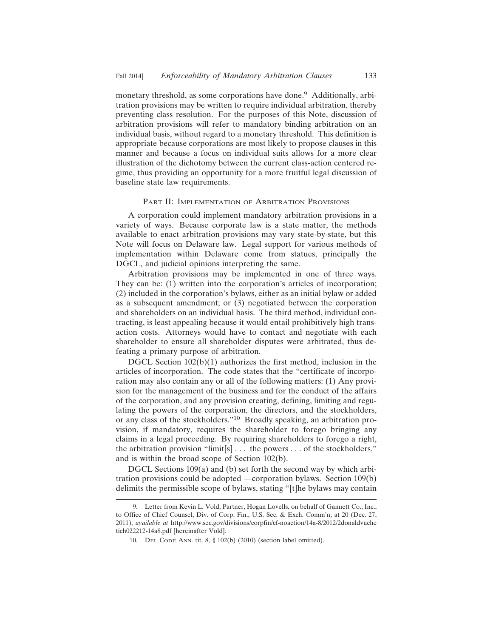monetary threshold, as some corporations have done.9 Additionally, arbitration provisions may be written to require individual arbitration, thereby preventing class resolution. For the purposes of this Note, discussion of arbitration provisions will refer to mandatory binding arbitration on an individual basis, without regard to a monetary threshold. This definition is appropriate because corporations are most likely to propose clauses in this manner and because a focus on individual suits allows for a more clear illustration of the dichotomy between the current class-action centered regime, thus providing an opportunity for a more fruitful legal discussion of baseline state law requirements.

#### PART II: IMPLEMENTATION OF ARBITRATION PROVISIONS

A corporation could implement mandatory arbitration provisions in a variety of ways. Because corporate law is a state matter, the methods available to enact arbitration provisions may vary state-by-state, but this Note will focus on Delaware law. Legal support for various methods of implementation within Delaware come from statues, principally the DGCL, and judicial opinions interpreting the same.

Arbitration provisions may be implemented in one of three ways. They can be: (1) written into the corporation's articles of incorporation; (2) included in the corporation's bylaws, either as an initial bylaw or added as a subsequent amendment; or (3) negotiated between the corporation and shareholders on an individual basis. The third method, individual contracting, is least appealing because it would entail prohibitively high transaction costs. Attorneys would have to contact and negotiate with each shareholder to ensure all shareholder disputes were arbitrated, thus defeating a primary purpose of arbitration.

DGCL Section  $102(b)(1)$  authorizes the first method, inclusion in the articles of incorporation. The code states that the "certificate of incorporation may also contain any or all of the following matters: (1) Any provision for the management of the business and for the conduct of the affairs of the corporation, and any provision creating, defining, limiting and regulating the powers of the corporation, the directors, and the stockholders, or any class of the stockholders."10 Broadly speaking, an arbitration provision, if mandatory, requires the shareholder to forego bringing any claims in a legal proceeding. By requiring shareholders to forego a right, the arbitration provision "limit[s] . . . the powers . . . of the stockholders," and is within the broad scope of Section 102(b).

DGCL Sections 109(a) and (b) set forth the second way by which arbitration provisions could be adopted —corporation bylaws. Section 109(b) delimits the permissible scope of bylaws, stating "[t]he bylaws may contain

<sup>9.</sup> Letter from Kevin L. Vold, Partner, Hogan Lovells, on behalf of Gannett Co., Inc., to Office of Chief Counsel, Div. of Corp. Fin., U.S. Sec. & Exch. Comm'n, at 20 (Dec. 27, 2011), *available at* http://www.sec.gov/divisions/corpfin/cf-noaction/14a-8/2012/2donaldvuche tich022212-14a8.pdf [hereinafter Vold].

<sup>10.</sup> DEL CODE ANN. tit. 8, § 102(b) (2010) (section label omitted).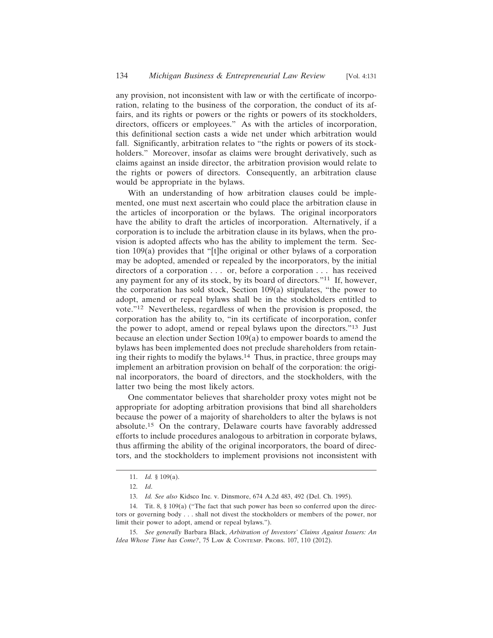any provision, not inconsistent with law or with the certificate of incorporation, relating to the business of the corporation, the conduct of its affairs, and its rights or powers or the rights or powers of its stockholders, directors, officers or employees." As with the articles of incorporation, this definitional section casts a wide net under which arbitration would fall. Significantly, arbitration relates to "the rights or powers of its stockholders." Moreover, insofar as claims were brought derivatively, such as claims against an inside director, the arbitration provision would relate to the rights or powers of directors. Consequently, an arbitration clause would be appropriate in the bylaws.

With an understanding of how arbitration clauses could be implemented, one must next ascertain who could place the arbitration clause in the articles of incorporation or the bylaws. The original incorporators have the ability to draft the articles of incorporation. Alternatively, if a corporation is to include the arbitration clause in its bylaws, when the provision is adopted affects who has the ability to implement the term. Section 109(a) provides that "[t]he original or other bylaws of a corporation may be adopted, amended or repealed by the incorporators, by the initial directors of a corporation . . . or, before a corporation . . . has received any payment for any of its stock, by its board of directors."11 If, however, the corporation has sold stock, Section 109(a) stipulates, "the power to adopt, amend or repeal bylaws shall be in the stockholders entitled to vote."12 Nevertheless, regardless of when the provision is proposed, the corporation has the ability to, "in its certificate of incorporation, confer the power to adopt, amend or repeal bylaws upon the directors."13 Just because an election under Section 109(a) to empower boards to amend the bylaws has been implemented does not preclude shareholders from retaining their rights to modify the bylaws.14 Thus, in practice, three groups may implement an arbitration provision on behalf of the corporation: the original incorporators, the board of directors, and the stockholders, with the latter two being the most likely actors.

One commentator believes that shareholder proxy votes might not be appropriate for adopting arbitration provisions that bind all shareholders because the power of a majority of shareholders to alter the bylaws is not absolute.15 On the contrary, Delaware courts have favorably addressed efforts to include procedures analogous to arbitration in corporate bylaws, thus affirming the ability of the original incorporators, the board of directors, and the stockholders to implement provisions not inconsistent with

<sup>11.</sup> *Id.* § 109(a).

<sup>12.</sup> *Id*.

<sup>13.</sup> *Id. See also* Kidsco Inc. v. Dinsmore, 674 A.2d 483, 492 (Del. Ch. 1995).

<sup>14.</sup> Tit. 8, § 109(a) ("The fact that such power has been so conferred upon the directors or governing body . . . shall not divest the stockholders or members of the power, nor limit their power to adopt, amend or repeal bylaws.").

<sup>15.</sup> *See generally* Barbara Black, *Arbitration of Investors' Claims Against Issuers: An Idea Whose Time has Come?*, 75 LAW & CONTEMP. PROBS. 107, 110 (2012).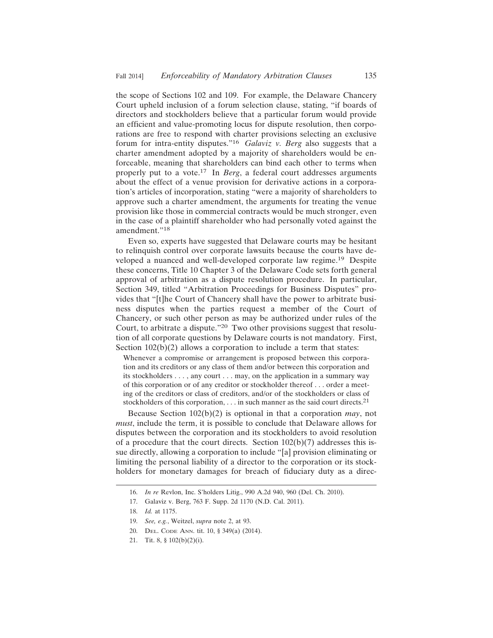the scope of Sections 102 and 109. For example, the Delaware Chancery Court upheld inclusion of a forum selection clause, stating, "if boards of directors and stockholders believe that a particular forum would provide an efficient and value-promoting locus for dispute resolution, then corporations are free to respond with charter provisions selecting an exclusive forum for intra-entity disputes."<sup>16</sup> *Galaviz v. Berg* also suggests that a charter amendment adopted by a majority of shareholders would be enforceable, meaning that shareholders can bind each other to terms when properly put to a vote.17 In *Berg*, a federal court addresses arguments about the effect of a venue provision for derivative actions in a corporation's articles of incorporation, stating "were a majority of shareholders to approve such a charter amendment, the arguments for treating the venue provision like those in commercial contracts would be much stronger, even in the case of a plaintiff shareholder who had personally voted against the amendment."18

Even so, experts have suggested that Delaware courts may be hesitant to relinquish control over corporate lawsuits because the courts have developed a nuanced and well-developed corporate law regime.19 Despite these concerns, Title 10 Chapter 3 of the Delaware Code sets forth general approval of arbitration as a dispute resolution procedure. In particular, Section 349, titled "Arbitration Proceedings for Business Disputes" provides that "[t]he Court of Chancery shall have the power to arbitrate business disputes when the parties request a member of the Court of Chancery, or such other person as may be authorized under rules of the Court, to arbitrate a dispute."20 Two other provisions suggest that resolution of all corporate questions by Delaware courts is not mandatory. First, Section  $102(b)(2)$  allows a corporation to include a term that states:

Whenever a compromise or arrangement is proposed between this corporation and its creditors or any class of them and/or between this corporation and its stockholders . . . , any court . . . may, on the application in a summary way of this corporation or of any creditor or stockholder thereof . . . order a meeting of the creditors or class of creditors, and/or of the stockholders or class of stockholders of this corporation,  $\dots$  in such manner as the said court directs.<sup>21</sup>

Because Section 102(b)(2) is optional in that a corporation *may*, not *must*, include the term, it is possible to conclude that Delaware allows for disputes between the corporation and its stockholders to avoid resolution of a procedure that the court directs. Section  $102(b)(7)$  addresses this issue directly, allowing a corporation to include "[a] provision eliminating or limiting the personal liability of a director to the corporation or its stockholders for monetary damages for breach of fiduciary duty as a direc-

- 20. DEL. CODE ANN. tit. 10, § 349(a) (2014).
- 21. Tit. 8, § 102(b)(2)(i).

<sup>16.</sup> *In re* Revlon, Inc. S'holders Litig., 990 A.2d 940, 960 (Del. Ch. 2010).

<sup>17.</sup> Galaviz v. Berg, 763 F. Supp. 2d 1170 (N.D. Cal. 2011).

<sup>18.</sup> *Id.* at 1175.

<sup>19.</sup> *See, e.g.*, Weitzel, *supra* note 2, at 93.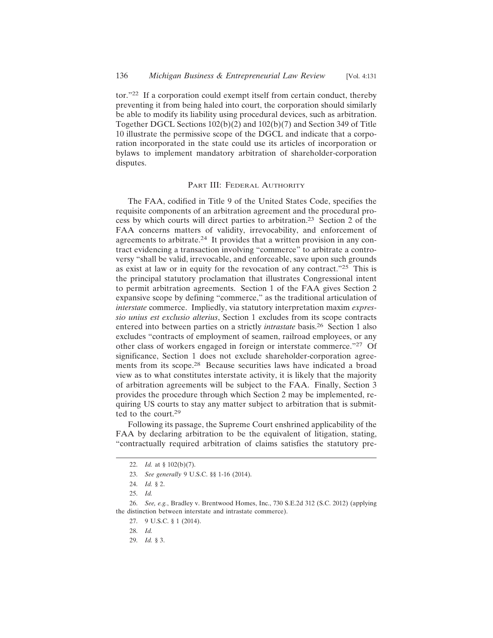tor."22 If a corporation could exempt itself from certain conduct, thereby preventing it from being haled into court, the corporation should similarly be able to modify its liability using procedural devices, such as arbitration. Together DGCL Sections 102(b)(2) and 102(b)(7) and Section 349 of Title 10 illustrate the permissive scope of the DGCL and indicate that a corporation incorporated in the state could use its articles of incorporation or bylaws to implement mandatory arbitration of shareholder-corporation disputes.

# PART III: FEDERAL AUTHORITY

The FAA, codified in Title 9 of the United States Code, specifies the requisite components of an arbitration agreement and the procedural process by which courts will direct parties to arbitration.23 Section 2 of the FAA concerns matters of validity, irrevocability, and enforcement of agreements to arbitrate.24 It provides that a written provision in any contract evidencing a transaction involving "commerce" to arbitrate a controversy "shall be valid, irrevocable, and enforceable, save upon such grounds as exist at law or in equity for the revocation of any contract."<sup>25</sup> This is the principal statutory proclamation that illustrates Congressional intent to permit arbitration agreements. Section 1 of the FAA gives Section 2 expansive scope by defining "commerce," as the traditional articulation of *interstate* commerce. Impliedly, via statutory interpretation maxim *expressio unius est exclusio alterius*, Section 1 excludes from its scope contracts entered into between parties on a strictly *intrastate* basis.26 Section 1 also excludes "contracts of employment of seamen, railroad employees, or any other class of workers engaged in foreign or interstate commerce."27 Of significance, Section 1 does not exclude shareholder-corporation agreements from its scope.28 Because securities laws have indicated a broad view as to what constitutes interstate activity, it is likely that the majority of arbitration agreements will be subject to the FAA. Finally, Section 3 provides the procedure through which Section 2 may be implemented, requiring US courts to stay any matter subject to arbitration that is submitted to the court.<sup>29</sup>

Following its passage, the Supreme Court enshrined applicability of the FAA by declaring arbitration to be the equivalent of litigation, stating, "contractually required arbitration of claims satisfies the statutory pre-

29. *Id.* § 3.

<sup>22.</sup> *Id.* at § 102(b)(7).

<sup>23.</sup> *See generally* 9 U.S.C. §§ 1-16 (2014).

<sup>24.</sup> *Id.* § 2.

<sup>25.</sup> *Id.*

<sup>26.</sup> *See, e.g.*, Bradley v. Brentwood Homes, Inc., 730 S.E.2d 312 (S.C. 2012) (applying the distinction between interstate and intrastate commerce).

<sup>27. 9</sup> U.S.C. § 1 (2014).

<sup>28.</sup> *Id.*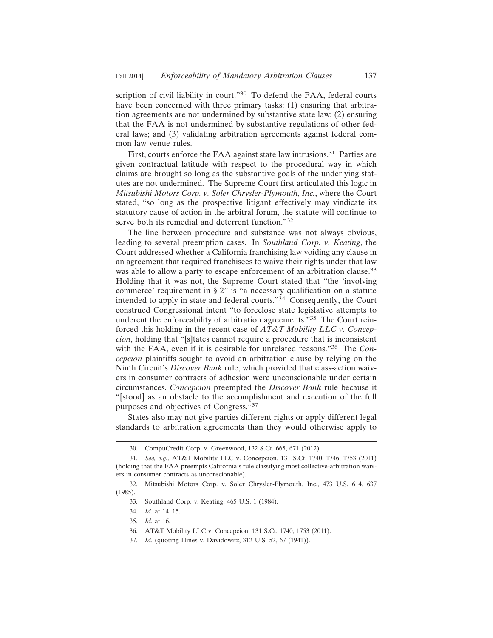scription of civil liability in court."<sup>30</sup> To defend the FAA, federal courts have been concerned with three primary tasks: (1) ensuring that arbitration agreements are not undermined by substantive state law; (2) ensuring that the FAA is not undermined by substantive regulations of other federal laws; and (3) validating arbitration agreements against federal common law venue rules.

First, courts enforce the FAA against state law intrusions.<sup>31</sup> Parties are given contractual latitude with respect to the procedural way in which claims are brought so long as the substantive goals of the underlying statutes are not undermined. The Supreme Court first articulated this logic in *Mitsubishi Motors Corp. v. Soler Chrysler-Plymouth, Inc.*, where the Court stated, "so long as the prospective litigant effectively may vindicate its statutory cause of action in the arbitral forum, the statute will continue to serve both its remedial and deterrent function."<sup>32</sup>

The line between procedure and substance was not always obvious, leading to several preemption cases. In *Southland Corp. v. Keating*, the Court addressed whether a California franchising law voiding any clause in an agreement that required franchisees to waive their rights under that law was able to allow a party to escape enforcement of an arbitration clause.<sup>33</sup> Holding that it was not, the Supreme Court stated that "the 'involving commerce' requirement in § 2" is "a necessary qualification on a statute intended to apply in state and federal courts."34 Consequently, the Court construed Congressional intent "to foreclose state legislative attempts to undercut the enforceability of arbitration agreements."35 The Court reinforced this holding in the recent case of *AT&T Mobility LLC v. Concepcion*, holding that "[s]tates cannot require a procedure that is inconsistent with the FAA, even if it is desirable for unrelated reasons."36 The *Concepcion* plaintiffs sought to avoid an arbitration clause by relying on the Ninth Circuit's *Discover Bank* rule, which provided that class-action waivers in consumer contracts of adhesion were unconscionable under certain circumstances. *Concepcion* preempted the *Discover Bank* rule because it "[stood] as an obstacle to the accomplishment and execution of the full purposes and objectives of Congress."37

States also may not give parties different rights or apply different legal standards to arbitration agreements than they would otherwise apply to

<sup>30.</sup> CompuCredit Corp. v. Greenwood, 132 S.Ct. 665, 671 (2012).

<sup>31.</sup> *See, e.g.*, AT&T Mobility LLC v. Concepcion, 131 S.Ct. 1740, 1746, 1753 (2011) (holding that the FAA preempts California's rule classifying most collective-arbitration waivers in consumer contracts as unconscionable).

<sup>32.</sup> Mitsubishi Motors Corp. v. Soler Chrysler-Plymouth, Inc., 473 U.S. 614, 637 (1985).

<sup>33.</sup> Southland Corp. v. Keating, 465 U.S. 1 (1984).

<sup>34.</sup> *Id.* at 14–15.

<sup>35.</sup> *Id.* at 16.

<sup>36.</sup> AT&T Mobility LLC v. Concepcion, 131 S.Ct. 1740, 1753 (2011).

<sup>37.</sup> *Id.* (quoting Hines v. Davidowitz, 312 U.S. 52, 67 (1941)).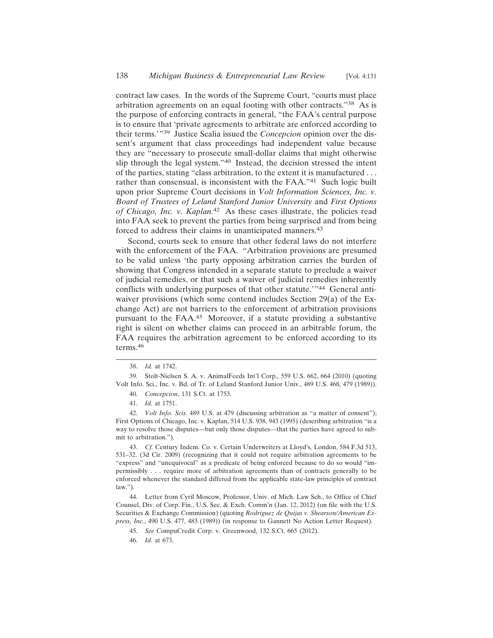contract law cases. In the words of the Supreme Court, "courts must place arbitration agreements on an equal footing with other contracts."38 As is the purpose of enforcing contracts in general, "the FAA's central purpose is to ensure that 'private agreements to arbitrate are enforced according to their terms.'"39 Justice Scalia issued the *Concepcion* opinion over the dissent's argument that class proceedings had independent value because they are "necessary to prosecute small-dollar claims that might otherwise slip through the legal system."40 Instead, the decision stressed the intent of the parties, stating "class arbitration, to the extent it is manufactured . . . rather than consensual, is inconsistent with the FAA."41 Such logic built upon prior Supreme Court decisions in *Volt Information Sciences, Inc. v. Board of Trustees of Leland Stanford Junior University* and *First Options of Chicago, Inc. v. Kaplan.*42 As these cases illustrate, the policies read into FAA seek to prevent the parties from being surprised and from being forced to address their claims in unanticipated manners.<sup>43</sup>

Second, courts seek to ensure that other federal laws do not interfere with the enforcement of the FAA. "Arbitration provisions are presumed to be valid unless 'the party opposing arbitration carries the burden of showing that Congress intended in a separate statute to preclude a waiver of judicial remedies, or that such a waiver of judicial remedies inherently conflicts with underlying purposes of that other statute.'"44 General antiwaiver provisions (which some contend includes Section 29(a) of the Exchange Act) are not barriers to the enforcement of arbitration provisions pursuant to the FAA.45 Moreover, if a statute providing a substantive right is silent on whether claims can proceed in an arbitrable forum, the FAA requires the arbitration agreement to be enforced according to its terms.46

43. *Cf.* Century Indem. Co. v. Certain Underwriters at Lloyd's*,* London, 584 F.3d 513, 531–32. (3d Cir. 2009) (recognizing that it could not require arbitration agreements to be "express" and "unequivocal" as a predicate of being enforced because to do so would "impermissibly . . . require more of arbitration agreements than of contracts generally to be enforced whenever the standard differed from the applicable state-law principles of contract law.").

44. Letter from Cyril Moscow, Professor, Univ. of Mich. Law Sch., to Office of Chief Counsel, Div. of Corp. Fin., U.S. Sec. & Exch. Comm'n (Jan. 12, 2012) (on file with the U.S. Securities & Exchange Commission) (quoting *Rodriguez de Quijas v. Shearson/American Express, Inc.*, 490 U.S. 477, 483 (1989)) (in response to Gannett No Action Letter Request).

<sup>38.</sup> *Id.* at 1742.

<sup>39.</sup> Stolt-Nielsen S. A. v. AnimalFeeds Int'l Corp., 559 U.S. 662, 664 (2010) (quoting Volt Info. Sci., Inc. v. Bd. of Tr. of Leland Stanford Junior Univ., 489 U.S. 468, 479 (1989)). 40. *Concepcion*, 131 S.Ct. at 1753.

<sup>41.</sup> *Id.* at 1751.

<sup>42.</sup> *Volt Info. Scis.* 489 U.S. at 479 (discussing arbitration as "a matter of consent"); First Options of Chicago, Inc. v. Kaplan, 514 U.S. 938, 943 (1995) (describing arbitration "is a way to resolve those disputes—but only those disputes—that the parties have agreed to submit to arbitration.").

<sup>45.</sup> *See* CompuCredit Corp. v. Greenwood, 132 S.Ct. 665 (2012).

<sup>46.</sup> *Id.* at 673.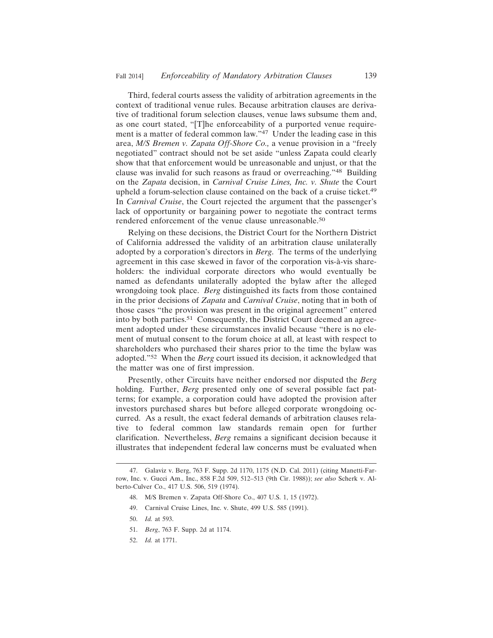Third, federal courts assess the validity of arbitration agreements in the context of traditional venue rules. Because arbitration clauses are derivative of traditional forum selection clauses, venue laws subsume them and, as one court stated, "[T]he enforceability of a purported venue requirement is a matter of federal common law."47 Under the leading case in this area, *M/S Bremen v. Zapata Off-Shore Co.,* a venue provision in a "freely negotiated" contract should not be set aside "unless Zapata could clearly show that that enforcement would be unreasonable and unjust, or that the clause was invalid for such reasons as fraud or overreaching."48 Building on the *Zapata* decision, in *Carnival Cruise Lines, Inc. v. Shute* the Court upheld a forum-selection clause contained on the back of a cruise ticket.<sup>49</sup> In *Carnival Cruise*, the Court rejected the argument that the passenger's lack of opportunity or bargaining power to negotiate the contract terms rendered enforcement of the venue clause unreasonable.<sup>50</sup>

Relying on these decisions, the District Court for the Northern District of California addressed the validity of an arbitration clause unilaterally adopted by a corporation's directors in *Berg*. The terms of the underlying agreement in this case skewed in favor of the corporation vis-à-vis shareholders: the individual corporate directors who would eventually be named as defendants unilaterally adopted the bylaw after the alleged wrongdoing took place. *Berg* distinguished its facts from those contained in the prior decisions of *Zapata* and *Carnival Cruise*, noting that in both of those cases "the provision was present in the original agreement" entered into by both parties.51 Consequently, the District Court deemed an agreement adopted under these circumstances invalid because "there is no element of mutual consent to the forum choice at all, at least with respect to shareholders who purchased their shares prior to the time the bylaw was adopted."52 When the *Berg* court issued its decision, it acknowledged that the matter was one of first impression.

Presently, other Circuits have neither endorsed nor disputed the *Berg* holding. Further, *Berg* presented only one of several possible fact patterns; for example, a corporation could have adopted the provision after investors purchased shares but before alleged corporate wrongdoing occurred. As a result, the exact federal demands of arbitration clauses relative to federal common law standards remain open for further clarification. Nevertheless, *Berg* remains a significant decision because it illustrates that independent federal law concerns must be evaluated when

52. *Id.* at 1771.

<sup>47.</sup> Galaviz v. Berg, 763 F. Supp. 2d 1170, 1175 (N.D. Cal. 2011) (citing Manetti-Farrow, Inc. v. Gucci Am., Inc., 858 F.2d 509, 512–513 (9th Cir. 1988)); *see also* Scherk v. Alberto-Culver Co., 417 U.S. 506, 519 (1974).

<sup>48.</sup> M/S Bremen v. Zapata Off-Shore Co., 407 U.S. 1, 15 (1972).

<sup>49.</sup> Carnival Cruise Lines, Inc. v. Shute, 499 U.S. 585 (1991).

<sup>50.</sup> *Id.* at 593.

<sup>51.</sup> *Berg*, 763 F. Supp. 2d at 1174.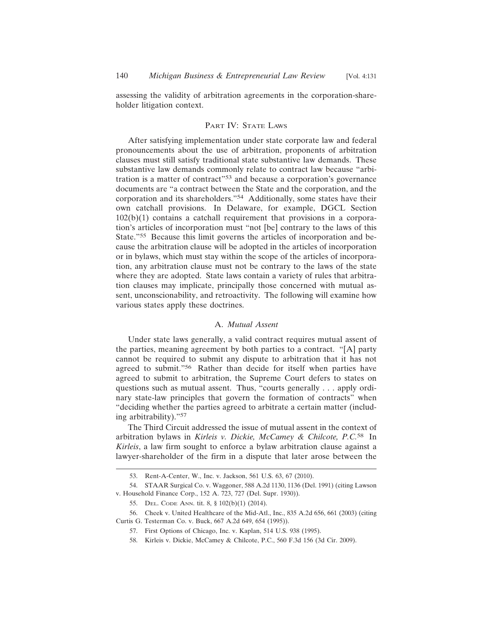assessing the validity of arbitration agreements in the corporation-shareholder litigation context.

# PART IV: STATE LAWS

After satisfying implementation under state corporate law and federal pronouncements about the use of arbitration, proponents of arbitration clauses must still satisfy traditional state substantive law demands. These substantive law demands commonly relate to contract law because "arbitration is a matter of contract"53 and because a corporation's governance documents are "a contract between the State and the corporation, and the corporation and its shareholders."54 Additionally, some states have their own catchall provisions. In Delaware, for example, DGCL Section  $102(b)(1)$  contains a catchall requirement that provisions in a corporation's articles of incorporation must "not [be] contrary to the laws of this State."55 Because this limit governs the articles of incorporation and because the arbitration clause will be adopted in the articles of incorporation or in bylaws, which must stay within the scope of the articles of incorporation, any arbitration clause must not be contrary to the laws of the state where they are adopted. State laws contain a variety of rules that arbitration clauses may implicate, principally those concerned with mutual assent, unconscionability, and retroactivity. The following will examine how various states apply these doctrines.

## A. *Mutual Assent*

Under state laws generally, a valid contract requires mutual assent of the parties, meaning agreement by both parties to a contract. "[A] party cannot be required to submit any dispute to arbitration that it has not agreed to submit."56 Rather than decide for itself when parties have agreed to submit to arbitration, the Supreme Court defers to states on questions such as mutual assent. Thus, "courts generally . . . apply ordinary state-law principles that govern the formation of contracts" when "deciding whether the parties agreed to arbitrate a certain matter (including arbitrability)."<sup>57</sup>

The Third Circuit addressed the issue of mutual assent in the context of arbitration bylaws in *Kirleis v. Dickie, McCamey & Chilcote, P.C.*58 In *Kirleis*, a law firm sought to enforce a bylaw arbitration clause against a lawyer-shareholder of the firm in a dispute that later arose between the

<sup>53.</sup> Rent-A-Center, W., Inc. v. Jackson, 561 U.S. 63, 67 (2010).

<sup>54.</sup> STAAR Surgical Co. v. Waggoner, 588 A.2d 1130, 1136 (Del. 1991) (citing Lawson v. Household Finance Corp., 152 A. 723, 727 (Del. Supr. 1930)).

<sup>55.</sup> DEL. CODE ANN. tit. 8, § 102(b)(1) (2014).

<sup>56.</sup> Cheek v. United Healthcare of the Mid-Atl., Inc., 835 A.2d 656, 661 (2003) (citing Curtis G. Testerman Co. v. Buck, 667 A.2d 649, 654 (1995)).

<sup>57.</sup> First Options of Chicago, Inc. v. Kaplan, 514 U.S. 938 (1995).

<sup>58.</sup> Kirleis v. Dickie, McCamey & Chilcote, P.C., 560 F.3d 156 (3d Cir. 2009).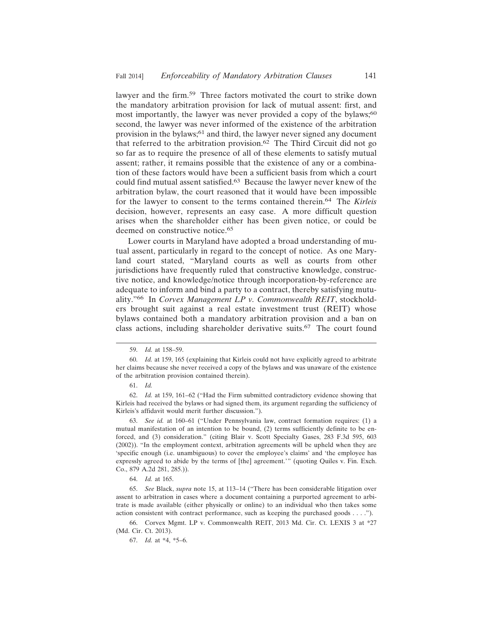lawyer and the firm.59 Three factors motivated the court to strike down the mandatory arbitration provision for lack of mutual assent: first, and most importantly, the lawyer was never provided a copy of the bylaws;<sup>60</sup> second, the lawyer was never informed of the existence of the arbitration provision in the bylaws;<sup>61</sup> and third, the lawyer never signed any document that referred to the arbitration provision.62 The Third Circuit did not go so far as to require the presence of all of these elements to satisfy mutual assent; rather, it remains possible that the existence of any or a combination of these factors would have been a sufficient basis from which a court could find mutual assent satisfied.63 Because the lawyer never knew of the arbitration bylaw, the court reasoned that it would have been impossible for the lawyer to consent to the terms contained therein.64 The *Kirleis* decision, however, represents an easy case. A more difficult question arises when the shareholder either has been given notice, or could be deemed on constructive notice.<sup>65</sup>

Lower courts in Maryland have adopted a broad understanding of mutual assent, particularly in regard to the concept of notice. As one Maryland court stated, "Maryland courts as well as courts from other jurisdictions have frequently ruled that constructive knowledge, constructive notice, and knowledge/notice through incorporation-by-reference are adequate to inform and bind a party to a contract, thereby satisfying mutuality."66 In *Corvex Management LP v. Commonwealth REIT*, stockholders brought suit against a real estate investment trust (REIT) whose bylaws contained both a mandatory arbitration provision and a ban on class actions, including shareholder derivative suits.67 The court found

<sup>59.</sup> *Id.* at 158–59.

<sup>60.</sup> *Id.* at 159, 165 (explaining that Kirleis could not have explicitly agreed to arbitrate her claims because she never received a copy of the bylaws and was unaware of the existence of the arbitration provision contained therein).

<sup>61.</sup> *Id.*

<sup>62.</sup> *Id.* at 159, 161–62 ("Had the Firm submitted contradictory evidence showing that Kirleis had received the bylaws or had signed them, its argument regarding the sufficiency of Kirleis's affidavit would merit further discussion.").

<sup>63.</sup> *See id.* at 160–61 ("Under Pennsylvania law, contract formation requires: (1) a mutual manifestation of an intention to be bound, (2) terms sufficiently definite to be enforced, and (3) consideration." (citing Blair v. Scott Specialty Gases, 283 F.3d 595, 603 (2002)). "In the employment context, arbitration agreements will be upheld when they are 'specific enough (i.e. unambiguous) to cover the employee's claims' and 'the employee has expressly agreed to abide by the terms of [the] agreement.'" (quoting Quiles v. Fin. Exch. Co., 879 A.2d 281, 285.)).

<sup>64.</sup> *Id.* at 165.

<sup>65.</sup> *See* Black, *supra* note 15, at 113–14 ("There has been considerable litigation over assent to arbitration in cases where a document containing a purported agreement to arbitrate is made available (either physically or online) to an individual who then takes some action consistent with contract performance, such as keeping the purchased goods . . . .").

<sup>66.</sup> Corvex Mgmt. LP v. Commonwealth REIT, 2013 Md. Cir. Ct. LEXIS 3 at \*27 (Md. Cir. Ct. 2013).

<sup>67.</sup> *Id.* at \*4, \*5–6.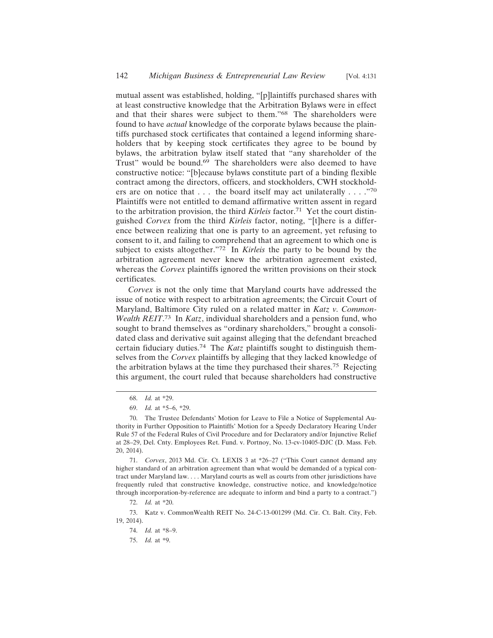mutual assent was established, holding, "[p]laintiffs purchased shares with at least constructive knowledge that the Arbitration Bylaws were in effect and that their shares were subject to them."68 The shareholders were found to have *actual* knowledge of the corporate bylaws because the plaintiffs purchased stock certificates that contained a legend informing shareholders that by keeping stock certificates they agree to be bound by bylaws, the arbitration bylaw itself stated that "any shareholder of the Trust" would be bound.69 The shareholders were also deemed to have constructive notice: "[b]ecause bylaws constitute part of a binding flexible contract among the directors, officers, and stockholders, CWH stockholders are on notice that . . . the board itself may act unilaterally . . . . "70 Plaintiffs were not entitled to demand affirmative written assent in regard to the arbitration provision, the third *Kirleis* factor.<sup>71</sup> Yet the court distinguished *Corvex* from the third *Kirleis* factor, noting, "[t]here is a difference between realizing that one is party to an agreement, yet refusing to consent to it, and failing to comprehend that an agreement to which one is subject to exists altogether."72 In *Kirleis* the party to be bound by the arbitration agreement never knew the arbitration agreement existed, whereas the *Corvex* plaintiffs ignored the written provisions on their stock certificates.

*Corvex* is not the only time that Maryland courts have addressed the issue of notice with respect to arbitration agreements; the Circuit Court of Maryland, Baltimore City ruled on a related matter in *Katz v. Common-Wealth REIT*. 73 In *Katz*, individual shareholders and a pension fund, who sought to brand themselves as "ordinary shareholders," brought a consolidated class and derivative suit against alleging that the defendant breached certain fiduciary duties.74 The *Katz* plaintiffs sought to distinguish themselves from the *Corvex* plaintiffs by alleging that they lacked knowledge of the arbitration bylaws at the time they purchased their shares.75 Rejecting this argument, the court ruled that because shareholders had constructive

<sup>68.</sup> *Id.* at \*29.

<sup>69.</sup> *Id.* at \*5–6, \*29.

<sup>70.</sup> The Trustee Defendants' Motion for Leave to File a Notice of Supplemental Authority in Further Opposition to Plaintiffs' Motion for a Speedy Declaratory Hearing Under Rule 57 of the Federal Rules of Civil Procedure and for Declaratory and/or Injunctive Relief at 28–29, Del. Cnty. Employees Ret. Fund. v. Portnoy, No. 13-cv-10405-DJC (D. Mass. Feb. 20, 2014).

<sup>71.</sup> *Corvex*, 2013 Md. Cir. Ct. LEXIS 3 at \*26–27 ("This Court cannot demand any higher standard of an arbitration agreement than what would be demanded of a typical contract under Maryland law. . . . Maryland courts as well as courts from other jurisdictions have frequently ruled that constructive knowledge, constructive notice, and knowledge/notice through incorporation-by-reference are adequate to inform and bind a party to a contract.")

<sup>72.</sup> *Id.* at \*20.

<sup>73.</sup> Katz v. CommonWealth REIT No. 24-C-13-001299 (Md. Cir. Ct. Balt. City, Feb. 19, 2014).

<sup>74.</sup> *Id.* at \*8–9.

<sup>75.</sup> *Id.* at \*9.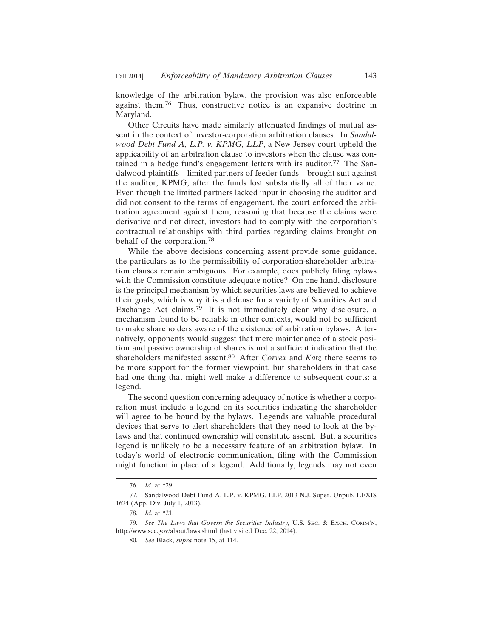knowledge of the arbitration bylaw, the provision was also enforceable against them.76 Thus, constructive notice is an expansive doctrine in Maryland.

Other Circuits have made similarly attenuated findings of mutual assent in the context of investor-corporation arbitration clauses. In *Sandalwood Debt Fund A, L.P. v. KPMG, LLP*, a New Jersey court upheld the applicability of an arbitration clause to investors when the clause was contained in a hedge fund's engagement letters with its auditor.<sup>77</sup> The Sandalwood plaintiffs—limited partners of feeder funds—brought suit against the auditor, KPMG, after the funds lost substantially all of their value. Even though the limited partners lacked input in choosing the auditor and did not consent to the terms of engagement, the court enforced the arbitration agreement against them, reasoning that because the claims were derivative and not direct, investors had to comply with the corporation's contractual relationships with third parties regarding claims brought on behalf of the corporation.<sup>78</sup>

While the above decisions concerning assent provide some guidance, the particulars as to the permissibility of corporation-shareholder arbitration clauses remain ambiguous. For example, does publicly filing bylaws with the Commission constitute adequate notice? On one hand, disclosure is the principal mechanism by which securities laws are believed to achieve their goals, which is why it is a defense for a variety of Securities Act and Exchange Act claims.79 It is not immediately clear why disclosure, a mechanism found to be reliable in other contexts, would not be sufficient to make shareholders aware of the existence of arbitration bylaws. Alternatively, opponents would suggest that mere maintenance of a stock position and passive ownership of shares is not a sufficient indication that the shareholders manifested assent.80 After *Corvex* and *Katz* there seems to be more support for the former viewpoint, but shareholders in that case had one thing that might well make a difference to subsequent courts: a legend.

The second question concerning adequacy of notice is whether a corporation must include a legend on its securities indicating the shareholder will agree to be bound by the bylaws. Legends are valuable procedural devices that serve to alert shareholders that they need to look at the bylaws and that continued ownership will constitute assent. But, a securities legend is unlikely to be a necessary feature of an arbitration bylaw. In today's world of electronic communication, filing with the Commission might function in place of a legend. Additionally, legends may not even

<sup>76.</sup> *Id.* at \*29.

<sup>77.</sup> Sandalwood Debt Fund A, L.P. v. KPMG, LLP, 2013 N.J. Super. Unpub. LEXIS 1624 (App. Div. July 1, 2013).

<sup>78.</sup> *Id.* at \*21.

<sup>79.</sup> *See The Laws that Govern the Securities Industry,* U.S. SEC. & EXCH. COMM'N, http://www.sec.gov/about/laws.shtml (last visited Dec. 22, 2014).

<sup>80.</sup> *See* Black, *supra* note 15, at 114.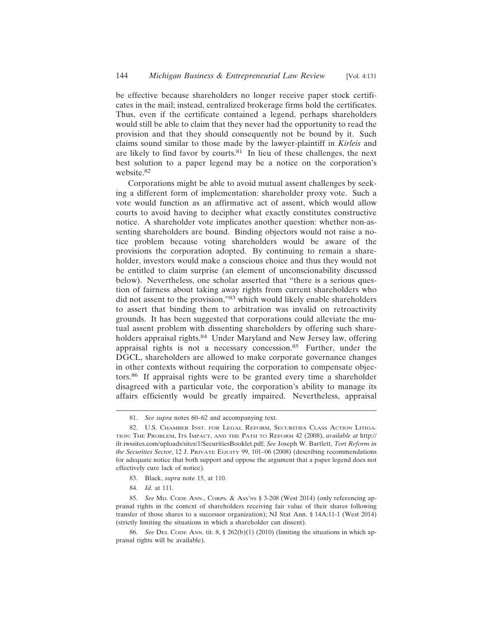be effective because shareholders no longer receive paper stock certificates in the mail; instead, centralized brokerage firms hold the certificates. Thus, even if the certificate contained a legend, perhaps shareholders would still be able to claim that they never had the opportunity to read the provision and that they should consequently not be bound by it. Such claims sound similar to those made by the lawyer-plaintiff in *Kirleis* and are likely to find favor by courts.<sup>81</sup> In lieu of these challenges, the next best solution to a paper legend may be a notice on the corporation's website.<sup>82</sup>

Corporations might be able to avoid mutual assent challenges by seeking a different form of implementation: shareholder proxy vote. Such a vote would function as an affirmative act of assent, which would allow courts to avoid having to decipher what exactly constitutes constructive notice. A shareholder vote implicates another question: whether non-assenting shareholders are bound. Binding objectors would not raise a notice problem because voting shareholders would be aware of the provisions the corporation adopted. By continuing to remain a shareholder, investors would make a conscious choice and thus they would not be entitled to claim surprise (an element of unconscionability discussed below). Nevertheless, one scholar asserted that "there is a serious question of fairness about taking away rights from current shareholders who did not assent to the provision,"83 which would likely enable shareholders to assert that binding them to arbitration was invalid on retroactivity grounds. It has been suggested that corporations could alleviate the mutual assent problem with dissenting shareholders by offering such shareholders appraisal rights.<sup>84</sup> Under Maryland and New Jersey law, offering appraisal rights is not a necessary concession.85 Further, under the DGCL, shareholders are allowed to make corporate governance changes in other contexts without requiring the corporation to compensate objectors.86 If appraisal rights were to be granted every time a shareholder disagreed with a particular vote, the corporation's ability to manage its affairs efficiently would be greatly impaired. Nevertheless, appraisal

- 83. Black, *supra* note 15, at 110.
- 84. *Id.* at 111.

<sup>81.</sup> *See supra* notes 60–62 and accompanying text.

<sup>82.</sup> U.S. CHAMBER INST. FOR LEGAL REFORM, SECURITIES CLASS ACTION LITIGA-TION: THE PROBLEM, ITS IMPACT, AND THE PATH TO REFORM 42 (2008), *available at* http:// ilr.iwssites.com/uploads/sites/1/SecuritiesBooklet.pdf; *See* Joseph W. Bartlett, *Tort Reform in the Securities Sector*, 12 J. PRIVATE EQUITY 99, 101–06 (2008) (describing recommendations for adequate notice that both support and oppose the argument that a paper legend does not effectively cure lack of notice).

<sup>85.</sup> *See* MD. CODE ANN., CORPS. & ASS'NS § 3-208 (West 2014) (only referencing appraisal rights in the context of shareholders receiving fair value of their shares following transfer of those shares to a successor organization); NJ Stat Ann. § 14A:11-1 (West 2014) (strictly limiting the situations in which a shareholder can dissent).

<sup>86.</sup> *See* DEL CODE ANN. tit. 8, § 262(b)(1) (2010) (limiting the situations in which appraisal rights will be available).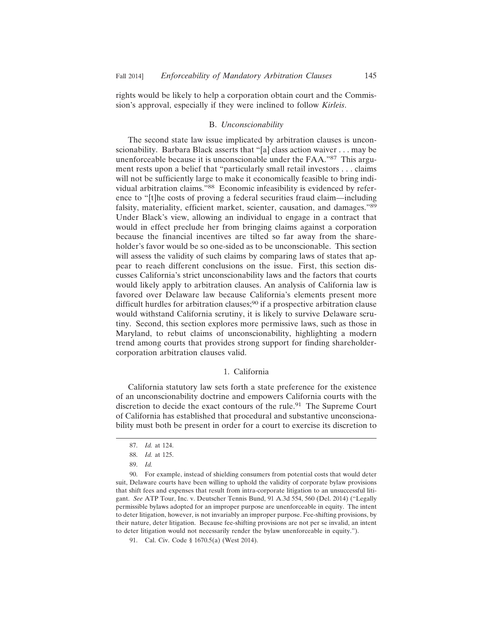rights would be likely to help a corporation obtain court and the Commission's approval, especially if they were inclined to follow *Kirleis*.

### B. *Unconscionability*

The second state law issue implicated by arbitration clauses is unconscionability. Barbara Black asserts that "[a] class action waiver . . . may be unenforceable because it is unconscionable under the FAA."87 This argument rests upon a belief that "particularly small retail investors . . . claims will not be sufficiently large to make it economically feasible to bring individual arbitration claims."88 Economic infeasibility is evidenced by reference to "[t]he costs of proving a federal securities fraud claim—including falsity, materiality, efficient market, scienter, causation, and damages."89 Under Black's view, allowing an individual to engage in a contract that would in effect preclude her from bringing claims against a corporation because the financial incentives are tilted so far away from the shareholder's favor would be so one-sided as to be unconscionable. This section will assess the validity of such claims by comparing laws of states that appear to reach different conclusions on the issue. First, this section discusses California's strict unconscionability laws and the factors that courts would likely apply to arbitration clauses. An analysis of California law is favored over Delaware law because California's elements present more difficult hurdles for arbitration clauses;<sup>90</sup> if a prospective arbitration clause would withstand California scrutiny, it is likely to survive Delaware scrutiny. Second, this section explores more permissive laws, such as those in Maryland, to rebut claims of unconscionability, highlighting a modern trend among courts that provides strong support for finding shareholdercorporation arbitration clauses valid.

### 1. California

California statutory law sets forth a state preference for the existence of an unconscionability doctrine and empowers California courts with the discretion to decide the exact contours of the rule.91 The Supreme Court of California has established that procedural and substantive unconscionability must both be present in order for a court to exercise its discretion to

<sup>87.</sup> *Id.* at 124.

<sup>88.</sup> *Id.* at 125.

<sup>89.</sup> *Id.*

<sup>90.</sup> For example, instead of shielding consumers from potential costs that would deter suit, Delaware courts have been willing to uphold the validity of corporate bylaw provisions that shift fees and expenses that result from intra-corporate litigation to an unsuccessful litigant. *See* ATP Tour, Inc. v. Deutscher Tennis Bund, 91 A.3d 554, 560 (Del. 2014) ("Legally permissible bylaws adopted for an improper purpose are unenforceable in equity. The intent to deter litigation, however, is not invariably an improper purpose. Fee-shifting provisions, by their nature, deter litigation. Because fee-shifting provisions are not per se invalid, an intent to deter litigation would not necessarily render the bylaw unenforceable in equity.").

<sup>91.</sup> Cal. Civ. Code § 1670.5(a) (West 2014).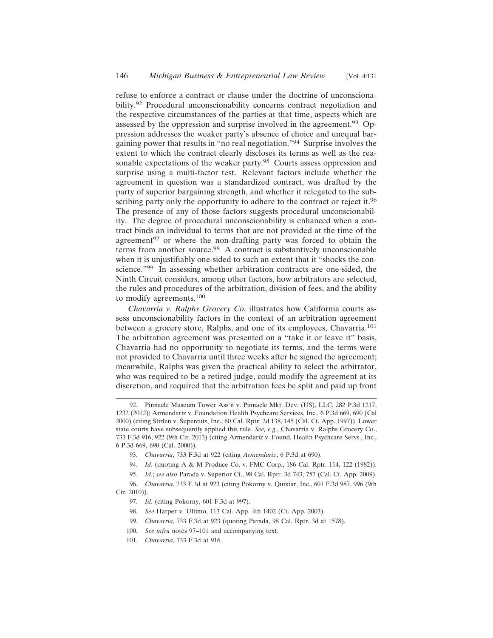refuse to enforce a contract or clause under the doctrine of unconscionability.92 Procedural unconscionability concerns contract negotiation and the respective circumstances of the parties at that time, aspects which are assessed by the oppression and surprise involved in the agreement.93 Oppression addresses the weaker party's absence of choice and unequal bargaining power that results in "no real negotiation."94 Surprise involves the extent to which the contract clearly discloses its terms as well as the reasonable expectations of the weaker party.<sup>95</sup> Courts assess oppression and surprise using a multi-factor test. Relevant factors include whether the agreement in question was a standardized contract, was drafted by the party of superior bargaining strength, and whether it relegated to the subscribing party only the opportunity to adhere to the contract or reject it.<sup>96</sup> The presence of any of those factors suggests procedural unconscionability. The degree of procedural unconscionability is enhanced when a contract binds an individual to terms that are not provided at the time of the agreement<sup>97</sup> or where the non-drafting party was forced to obtain the terms from another source.<sup>98</sup> A contract is substantively unconscionable when it is unjustifiably one-sided to such an extent that it "shocks the conscience."99 In assessing whether arbitration contracts are one-sided, the Ninth Circuit considers, among other factors, how arbitrators are selected, the rules and procedures of the arbitration, division of fees, and the ability to modify agreements.<sup>100</sup>

*Chavarria v. Ralphs Grocery Co.* illustrates how California courts assess unconscionability factors in the context of an arbitration agreement between a grocery store, Ralphs, and one of its employees, Chavarria.<sup>101</sup> The arbitration agreement was presented on a "take it or leave it" basis, Chavarria had no opportunity to negotiate its terms, and the terms were not provided to Chavarria until three weeks after he signed the agreement; meanwhile, Ralphs was given the practical ability to select the arbitrator, who was required to be a retired judge, could modify the agreement at its discretion, and required that the arbitration fees be split and paid up front

94. *Id.* (quoting A & M Produce Co. v. FMC Corp., 186 Cal. Rptr. 114, 122 (1982)).

<sup>92.</sup> Pinnacle Museum Tower Ass'n v. Pinnacle Mkt. Dev. (US), LLC, 282 P.3d 1217, 1232 (2012); Armendariz v. Foundation Health Psychcare Services, Inc., 6 P.3d 669, 690 (Cal 2000) (citing Stirlen v. Supercuts, Inc., 60 Cal. Rptr. 2d 138, 145 (Cal. Ct. App. 1997)). Lower state courts have subsequently applied this rule. *See, e.g*., Chavarria v. Ralphs Grocery Co., 733 F.3d 916, 922 (9th Cir. 2013) (citing Armendariz v. Found. Health Psychcare Servs., Inc., 6 P.3d 669, 690 (Cal. 2000)).

<sup>93.</sup> *Chavarria*, 733 F.3d at 922 (citing *Armendariz*, 6 P.3d at 690).

<sup>95.</sup> *Id.*; *see also* Parada v. Superior Ct., 98 Cal. Rptr. 3d 743, 757 (Cal. Ct. App. 2009).

<sup>96.</sup> *Chavarria*, 733 F.3d at 923 (citing Pokorny v. Quixtar, Inc., 601 F.3d 987, 996 (9th Cir. 2010)).

<sup>97.</sup> *Id.* (citing Pokorny, 601 F.3d at 997).

<sup>98.</sup> *See* Harper v. Ultimo, 113 Cal. App. 4th 1402 (Ct. App. 2003).

<sup>99.</sup> *Chavarria,* 733 F.3d at 923 (quoting Parada, 98 Cal. Rptr. 3d at 1578).

<sup>100.</sup> *See infra* notes 97–101 and accompanying text.

<sup>101.</sup> *Chavarria,* 733 F.3d at 916.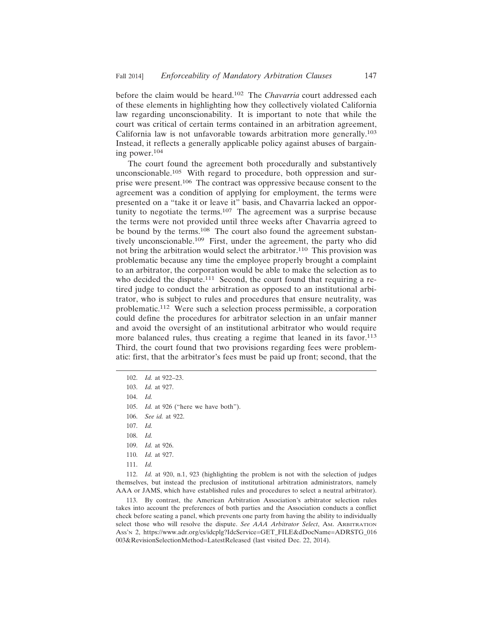before the claim would be heard.102 The *Chavarria* court addressed each of these elements in highlighting how they collectively violated California law regarding unconscionability. It is important to note that while the court was critical of certain terms contained in an arbitration agreement, California law is not unfavorable towards arbitration more generally.<sup>103</sup> Instead, it reflects a generally applicable policy against abuses of bargaining power.<sup>104</sup>

The court found the agreement both procedurally and substantively unconscionable.105 With regard to procedure, both oppression and surprise were present.106 The contract was oppressive because consent to the agreement was a condition of applying for employment, the terms were presented on a "take it or leave it" basis, and Chavarria lacked an opportunity to negotiate the terms.107 The agreement was a surprise because the terms were not provided until three weeks after Chavarria agreed to be bound by the terms.<sup>108</sup> The court also found the agreement substantively unconscionable.109 First, under the agreement, the party who did not bring the arbitration would select the arbitrator.110 This provision was problematic because any time the employee properly brought a complaint to an arbitrator, the corporation would be able to make the selection as to who decided the dispute.<sup>111</sup> Second, the court found that requiring a retired judge to conduct the arbitration as opposed to an institutional arbitrator, who is subject to rules and procedures that ensure neutrality, was problematic.112 Were such a selection process permissible, a corporation could define the procedures for arbitrator selection in an unfair manner and avoid the oversight of an institutional arbitrator who would require more balanced rules, thus creating a regime that leaned in its favor.<sup>113</sup> Third, the court found that two provisions regarding fees were problematic: first, that the arbitrator's fees must be paid up front; second, that the

111. *Id.*

112. *Id.* at 920, n.1, 923 (highlighting the problem is not with the selection of judges themselves, but instead the preclusion of institutional arbitration administrators, namely AAA or JAMS, which have established rules and procedures to select a neutral arbitrator).

113. By contrast, the American Arbitration Association's arbitrator selection rules takes into account the preferences of both parties and the Association conducts a conflict check before seating a panel, which prevents one party from having the ability to individually select those who will resolve the dispute. *See AAA Arbitrator Select*, AM. ARBITRATION ASS'N 2, https://www.adr.org/cs/idcplg?IdcService=GET\_FILE&dDocName=ADRSTG\_016 003&RevisionSelectionMethod=LatestReleased (last visited Dec. 22, 2014).

<sup>102.</sup> *Id.* at 922–23.

<sup>103.</sup> *Id.* at 927.

<sup>104.</sup> *Id.*

<sup>105.</sup> *Id.* at 926 ("here we have both").

<sup>106.</sup> *See id.* at 922.

<sup>107.</sup> *Id.*

<sup>108.</sup> *Id.*

<sup>109.</sup> *Id.* at 926.

<sup>110.</sup> *Id.* at 927.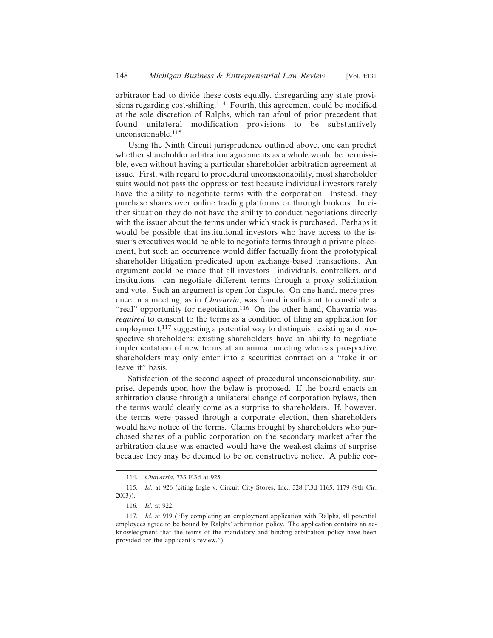arbitrator had to divide these costs equally, disregarding any state provisions regarding cost-shifting.114 Fourth, this agreement could be modified at the sole discretion of Ralphs, which ran afoul of prior precedent that found unilateral modification provisions to be substantively unconscionable.115

Using the Ninth Circuit jurisprudence outlined above, one can predict whether shareholder arbitration agreements as a whole would be permissible, even without having a particular shareholder arbitration agreement at issue. First, with regard to procedural unconscionability, most shareholder suits would not pass the oppression test because individual investors rarely have the ability to negotiate terms with the corporation. Instead, they purchase shares over online trading platforms or through brokers. In either situation they do not have the ability to conduct negotiations directly with the issuer about the terms under which stock is purchased. Perhaps it would be possible that institutional investors who have access to the issuer's executives would be able to negotiate terms through a private placement, but such an occurrence would differ factually from the prototypical shareholder litigation predicated upon exchange-based transactions. An argument could be made that all investors—individuals, controllers, and institutions—can negotiate different terms through a proxy solicitation and vote. Such an argument is open for dispute. On one hand, mere presence in a meeting, as in *Chavarria*, was found insufficient to constitute a "real" opportunity for negotiation.<sup>116</sup> On the other hand, Chavarria was *required* to consent to the terms as a condition of filing an application for employment,<sup>117</sup> suggesting a potential way to distinguish existing and prospective shareholders: existing shareholders have an ability to negotiate implementation of new terms at an annual meeting whereas prospective shareholders may only enter into a securities contract on a "take it or leave it" basis.

Satisfaction of the second aspect of procedural unconscionability, surprise, depends upon how the bylaw is proposed. If the board enacts an arbitration clause through a unilateral change of corporation bylaws, then the terms would clearly come as a surprise to shareholders. If, however, the terms were passed through a corporate election, then shareholders would have notice of the terms. Claims brought by shareholders who purchased shares of a public corporation on the secondary market after the arbitration clause was enacted would have the weakest claims of surprise because they may be deemed to be on constructive notice. A public cor-

<sup>114.</sup> *Chavarria*, 733 F.3d at 925.

<sup>115.</sup> *Id.* at 926 (citing Ingle v. Circuit City Stores, Inc., 328 F.3d 1165, 1179 (9th Cir. 2003)).

<sup>116.</sup> *Id.* at 922.

<sup>117.</sup> *Id.* at 919 ("By completing an employment application with Ralphs, all potential employees agree to be bound by Ralphs' arbitration policy. The application contains an acknowledgment that the terms of the mandatory and binding arbitration policy have been provided for the applicant's review.").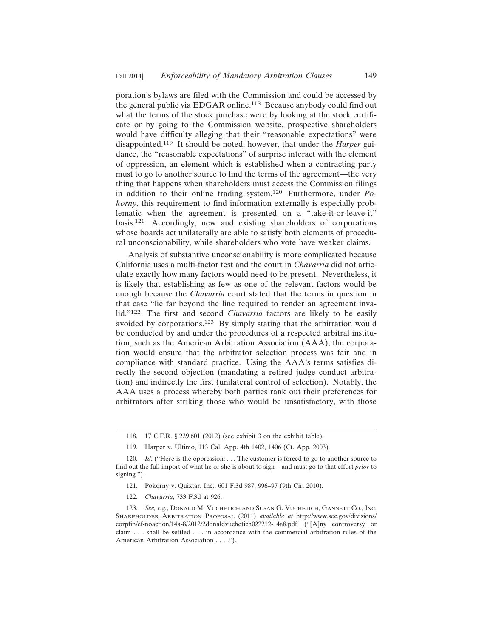poration's bylaws are filed with the Commission and could be accessed by the general public via EDGAR online.118 Because anybody could find out what the terms of the stock purchase were by looking at the stock certificate or by going to the Commission website, prospective shareholders would have difficulty alleging that their "reasonable expectations" were disappointed.119 It should be noted, however, that under the *Harper* guidance, the "reasonable expectations" of surprise interact with the element of oppression, an element which is established when a contracting party must to go to another source to find the terms of the agreement—the very thing that happens when shareholders must access the Commission filings in addition to their online trading system.120 Furthermore, under *Pokorny*, this requirement to find information externally is especially problematic when the agreement is presented on a "take-it-or-leave-it" basis.121 Accordingly, new and existing shareholders of corporations whose boards act unilaterally are able to satisfy both elements of procedural unconscionability, while shareholders who vote have weaker claims.

Analysis of substantive unconscionability is more complicated because California uses a multi-factor test and the court in *Chavarria* did not articulate exactly how many factors would need to be present. Nevertheless, it is likely that establishing as few as one of the relevant factors would be enough because the *Chavarria* court stated that the terms in question in that case "lie far beyond the line required to render an agreement invalid."122 The first and second *Chavarria* factors are likely to be easily avoided by corporations.123 By simply stating that the arbitration would be conducted by and under the procedures of a respected arbitral institution, such as the American Arbitration Association (AAA), the corporation would ensure that the arbitrator selection process was fair and in compliance with standard practice. Using the AAA's terms satisfies directly the second objection (mandating a retired judge conduct arbitration) and indirectly the first (unilateral control of selection). Notably, the AAA uses a process whereby both parties rank out their preferences for arbitrators after striking those who would be unsatisfactory, with those

122. *Chavarria*, 733 F.3d at 926.

<sup>118. 17</sup> C.F.R. § 229.601 (2012) (see exhibit 3 on the exhibit table).

<sup>119.</sup> Harper v. Ultimo, 113 Cal. App. 4th 1402, 1406 (Ct. App. 2003).

<sup>120.</sup> *Id.* ("Here is the oppression: ... The customer is forced to go to another source to find out the full import of what he or she is about to sign – and must go to that effort *prior* to signing.").

<sup>121.</sup> Pokorny v. Quixtar, Inc., 601 F.3d 987, 996–97 (9th Cir. 2010).

<sup>123.</sup> *See, e.g.*, DONALD M. VUCHETICH AND SUSAN G. VUCHETICH, GANNETT CO., INC. SHAREHOLDER ARBITRATION PROPOSAL (2011) *available at* http://www.sec.gov/divisions/ corpfin/cf-noaction/14a-8/2012/2donaldvuchetich022212-14a8.pdf ("[A]ny controversy or claim . . . shall be settled . . . in accordance with the commercial arbitration rules of the American Arbitration Association . . . .").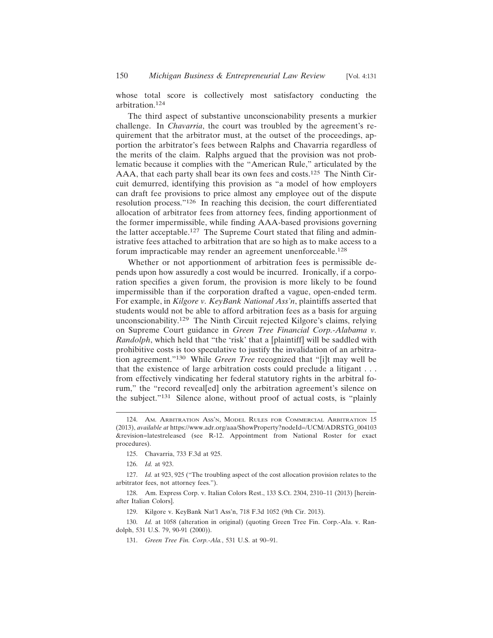whose total score is collectively most satisfactory conducting the arbitration.124

The third aspect of substantive unconscionability presents a murkier challenge. In *Chavarria*, the court was troubled by the agreement's requirement that the arbitrator must, at the outset of the proceedings, apportion the arbitrator's fees between Ralphs and Chavarria regardless of the merits of the claim. Ralphs argued that the provision was not problematic because it complies with the "American Rule," articulated by the AAA, that each party shall bear its own fees and costs.<sup>125</sup> The Ninth Circuit demurred, identifying this provision as "a model of how employers can draft fee provisions to price almost any employee out of the dispute resolution process."126 In reaching this decision, the court differentiated allocation of arbitrator fees from attorney fees, finding apportionment of the former impermissible, while finding AAA-based provisions governing the latter acceptable.<sup>127</sup> The Supreme Court stated that filing and administrative fees attached to arbitration that are so high as to make access to a forum impracticable may render an agreement unenforceable.<sup>128</sup>

Whether or not apportionment of arbitration fees is permissible depends upon how assuredly a cost would be incurred. Ironically, if a corporation specifies a given forum, the provision is more likely to be found impermissible than if the corporation drafted a vague, open-ended term. For example, in *Kilgore v. KeyBank National Ass'n*, plaintiffs asserted that students would not be able to afford arbitration fees as a basis for arguing unconscionability.129 The Ninth Circuit rejected Kilgore's claims, relying on Supreme Court guidance in *Green Tree Financial Corp.-Alabama v. Randolph*, which held that "the 'risk' that a [plaintiff] will be saddled with prohibitive costs is too speculative to justify the invalidation of an arbitration agreement."130 While *Green Tree* recognized that "[i]t may well be that the existence of large arbitration costs could preclude a litigant . . . from effectively vindicating her federal statutory rights in the arbitral forum," the "record reveal[ed] only the arbitration agreement's silence on the subject."131 Silence alone, without proof of actual costs, is "plainly

<sup>124.</sup> AM. ARBITRATION ASS'N, MODEL RULES FOR COMMERCIAL ARBITRATION 15 (2013), *available at* https://www.adr.org/aaa/ShowProperty?nodeId=/UCM/ADRSTG\_004103 &revision=latestreleased (see R-12. Appointment from National Roster for exact procedures).

<sup>125.</sup> Chavarria, 733 F.3d at 925.

<sup>126.</sup> *Id.* at 923.

<sup>127.</sup> *Id.* at 923, 925 ("The troubling aspect of the cost allocation provision relates to the arbitrator fees, not attorney fees.").

<sup>128.</sup> Am. Express Corp. v. Italian Colors Rest., 133 S.Ct. 2304, 2310–11 (2013) [hereinafter Italian Colors].

<sup>129.</sup> Kilgore v. KeyBank Nat'l Ass'n, 718 F.3d 1052 (9th Cir. 2013).

<sup>130.</sup> *Id.* at 1058 (alteration in original) (quoting Green Tree Fin. Corp.-Ala. v. Randolph, 531 U.S. 79, 90-91 (2000)).

<sup>131.</sup> *Green Tree Fin. Corp.-Ala.*, 531 U.S. at 90–91.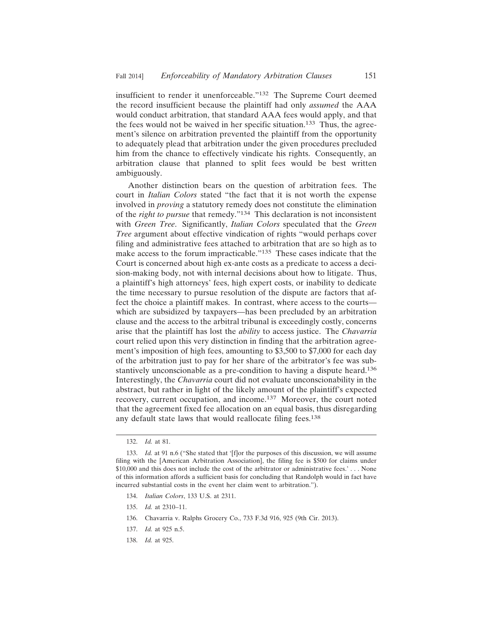insufficient to render it unenforceable."132 The Supreme Court deemed the record insufficient because the plaintiff had only *assumed* the AAA would conduct arbitration, that standard AAA fees would apply, and that the fees would not be waived in her specific situation.<sup>133</sup> Thus, the agreement's silence on arbitration prevented the plaintiff from the opportunity to adequately plead that arbitration under the given procedures precluded him from the chance to effectively vindicate his rights. Consequently, an arbitration clause that planned to split fees would be best written ambiguously.

Another distinction bears on the question of arbitration fees. The court in *Italian Colors* stated "the fact that it is not worth the expense involved in *proving* a statutory remedy does not constitute the elimination of the *right to pursue* that remedy."134 This declaration is not inconsistent with *Green Tree*. Significantly, *Italian Colors* speculated that the *Green Tree* argument about effective vindication of rights "would perhaps cover filing and administrative fees attached to arbitration that are so high as to make access to the forum impracticable."135 These cases indicate that the Court is concerned about high ex-ante costs as a predicate to access a decision-making body, not with internal decisions about how to litigate. Thus, a plaintiff's high attorneys' fees, high expert costs, or inability to dedicate the time necessary to pursue resolution of the dispute are factors that affect the choice a plaintiff makes. In contrast, where access to the courts which are subsidized by taxpayers—has been precluded by an arbitration clause and the access to the arbitral tribunal is exceedingly costly, concerns arise that the plaintiff has lost the *ability* to access justice. The *Chavarria* court relied upon this very distinction in finding that the arbitration agreement's imposition of high fees, amounting to \$3,500 to \$7,000 for each day of the arbitration just to pay for her share of the arbitrator's fee was substantively unconscionable as a pre-condition to having a dispute heard.<sup>136</sup> Interestingly, the *Chavarria* court did not evaluate unconscionability in the abstract, but rather in light of the likely amount of the plaintiff's expected recovery, current occupation, and income.137 Moreover, the court noted that the agreement fixed fee allocation on an equal basis, thus disregarding any default state laws that would reallocate filing fees.<sup>138</sup>

- 134. *Italian Colors*, 133 U.S. at 2311.
- 135. *Id.* at 2310–11.
- 136. Chavarria v. Ralphs Grocery Co., 733 F.3d 916, 925 (9th Cir. 2013).
- 137. *Id.* at 925 n.5.
- 138. *Id.* at 925.

<sup>132.</sup> *Id.* at 81.

<sup>133.</sup> *Id.* at 91 n.6 ("She stated that '[f]or the purposes of this discussion, we will assume filing with the [American Arbitration Association], the filing fee is \$500 for claims under \$10,000 and this does not include the cost of the arbitrator or administrative fees.' . . . None of this information affords a sufficient basis for concluding that Randolph would in fact have incurred substantial costs in the event her claim went to arbitration.").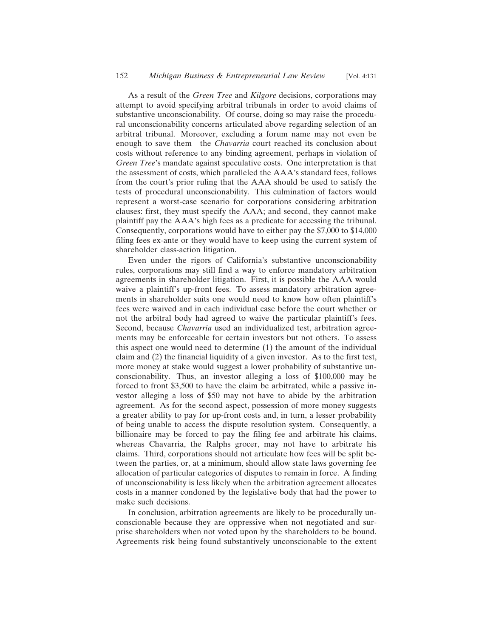As a result of the *Green Tree* and *Kilgore* decisions, corporations may attempt to avoid specifying arbitral tribunals in order to avoid claims of substantive unconscionability. Of course, doing so may raise the procedural unconscionability concerns articulated above regarding selection of an arbitral tribunal. Moreover, excluding a forum name may not even be enough to save them—the *Chavarria* court reached its conclusion about costs without reference to any binding agreement, perhaps in violation of *Green Tree*'s mandate against speculative costs. One interpretation is that the assessment of costs, which paralleled the AAA's standard fees, follows from the court's prior ruling that the AAA should be used to satisfy the tests of procedural unconscionability. This culmination of factors would represent a worst-case scenario for corporations considering arbitration clauses: first, they must specify the AAA; and second, they cannot make plaintiff pay the AAA's high fees as a predicate for accessing the tribunal. Consequently, corporations would have to either pay the \$7,000 to \$14,000 filing fees ex-ante or they would have to keep using the current system of shareholder class-action litigation.

Even under the rigors of California's substantive unconscionability rules, corporations may still find a way to enforce mandatory arbitration agreements in shareholder litigation. First, it is possible the AAA would waive a plaintiff's up-front fees. To assess mandatory arbitration agreements in shareholder suits one would need to know how often plaintiff's fees were waived and in each individual case before the court whether or not the arbitral body had agreed to waive the particular plaintiff's fees. Second, because *Chavarria* used an individualized test, arbitration agreements may be enforceable for certain investors but not others. To assess this aspect one would need to determine (1) the amount of the individual claim and (2) the financial liquidity of a given investor. As to the first test, more money at stake would suggest a lower probability of substantive unconscionability. Thus, an investor alleging a loss of \$100,000 may be forced to front \$3,500 to have the claim be arbitrated, while a passive investor alleging a loss of \$50 may not have to abide by the arbitration agreement. As for the second aspect, possession of more money suggests a greater ability to pay for up-front costs and, in turn, a lesser probability of being unable to access the dispute resolution system. Consequently, a billionaire may be forced to pay the filing fee and arbitrate his claims, whereas Chavarria, the Ralphs grocer, may not have to arbitrate his claims. Third, corporations should not articulate how fees will be split between the parties, or, at a minimum, should allow state laws governing fee allocation of particular categories of disputes to remain in force. A finding of unconscionability is less likely when the arbitration agreement allocates costs in a manner condoned by the legislative body that had the power to make such decisions.

In conclusion, arbitration agreements are likely to be procedurally unconscionable because they are oppressive when not negotiated and surprise shareholders when not voted upon by the shareholders to be bound. Agreements risk being found substantively unconscionable to the extent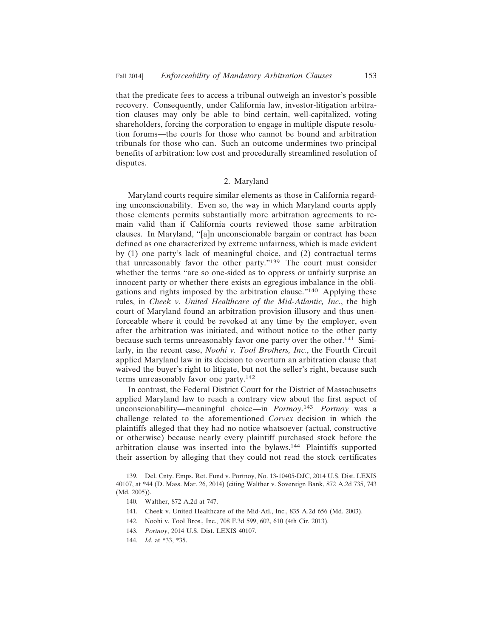that the predicate fees to access a tribunal outweigh an investor's possible recovery. Consequently, under California law, investor-litigation arbitration clauses may only be able to bind certain, well-capitalized, voting shareholders, forcing the corporation to engage in multiple dispute resolution forums—the courts for those who cannot be bound and arbitration tribunals for those who can. Such an outcome undermines two principal benefits of arbitration: low cost and procedurally streamlined resolution of disputes.

# 2. Maryland

Maryland courts require similar elements as those in California regarding unconscionability. Even so, the way in which Maryland courts apply those elements permits substantially more arbitration agreements to remain valid than if California courts reviewed those same arbitration clauses. In Maryland, "[a]n unconscionable bargain or contract has been defined as one characterized by extreme unfairness, which is made evident by (1) one party's lack of meaningful choice, and (2) contractual terms that unreasonably favor the other party."139 The court must consider whether the terms "are so one-sided as to oppress or unfairly surprise an innocent party or whether there exists an egregious imbalance in the obligations and rights imposed by the arbitration clause."140 Applying these rules, in *Cheek v. United Healthcare of the Mid-Atlantic, Inc.*, the high court of Maryland found an arbitration provision illusory and thus unenforceable where it could be revoked at any time by the employer, even after the arbitration was initiated, and without notice to the other party because such terms unreasonably favor one party over the other.141 Similarly, in the recent case, *Noohi v. Tool Brothers, Inc.*, the Fourth Circuit applied Maryland law in its decision to overturn an arbitration clause that waived the buyer's right to litigate, but not the seller's right, because such terms unreasonably favor one party.<sup>142</sup>

In contrast, the Federal District Court for the District of Massachusetts applied Maryland law to reach a contrary view about the first aspect of unconscionability—meaningful choice—in *Portnoy*. <sup>143</sup> *Portnoy* was a challenge related to the aforementioned *Corvex* decision in which the plaintiffs alleged that they had no notice whatsoever (actual, constructive or otherwise) because nearly every plaintiff purchased stock before the arbitration clause was inserted into the bylaws.144 Plaintiffs supported their assertion by alleging that they could not read the stock certificates

<sup>139.</sup> Del. Cnty. Emps. Ret. Fund v. Portnoy, No. 13-10405-DJC, 2014 U.S. Dist. LEXIS 40107, at \*44 (D. Mass. Mar. 26, 2014) (citing Walther v. Sovereign Bank, 872 A.2d 735, 743 (Md. 2005)).

<sup>140.</sup> Walther, 872 A.2d at 747.

<sup>141.</sup> Cheek v. United Healthcare of the Mid-Atl., Inc., 835 A.2d 656 (Md. 2003).

<sup>142.</sup> Noohi v. Tool Bros., Inc., 708 F.3d 599, 602, 610 (4th Cir. 2013).

<sup>143.</sup> *Portnoy*, 2014 U.S. Dist. LEXIS 40107.

<sup>144.</sup> *Id.* at \*33, \*35.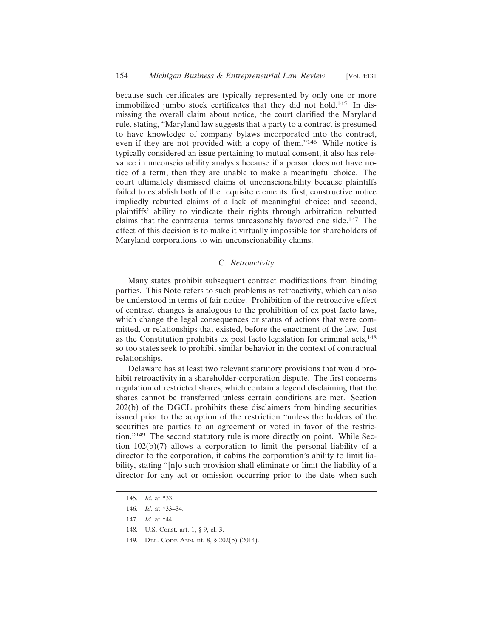because such certificates are typically represented by only one or more immobilized jumbo stock certificates that they did not hold.145 In dismissing the overall claim about notice, the court clarified the Maryland rule, stating, "Maryland law suggests that a party to a contract is presumed to have knowledge of company bylaws incorporated into the contract, even if they are not provided with a copy of them."146 While notice is typically considered an issue pertaining to mutual consent, it also has relevance in unconscionability analysis because if a person does not have notice of a term, then they are unable to make a meaningful choice. The court ultimately dismissed claims of unconscionability because plaintiffs failed to establish both of the requisite elements: first, constructive notice impliedly rebutted claims of a lack of meaningful choice; and second, plaintiffs' ability to vindicate their rights through arbitration rebutted claims that the contractual terms unreasonably favored one side.147 The effect of this decision is to make it virtually impossible for shareholders of Maryland corporations to win unconscionability claims.

## C. *Retroactivity*

Many states prohibit subsequent contract modifications from binding parties. This Note refers to such problems as retroactivity, which can also be understood in terms of fair notice. Prohibition of the retroactive effect of contract changes is analogous to the prohibition of ex post facto laws, which change the legal consequences or status of actions that were committed, or relationships that existed, before the enactment of the law. Just as the Constitution prohibits ex post facto legislation for criminal acts,<sup>148</sup> so too states seek to prohibit similar behavior in the context of contractual relationships.

Delaware has at least two relevant statutory provisions that would prohibit retroactivity in a shareholder-corporation dispute. The first concerns regulation of restricted shares, which contain a legend disclaiming that the shares cannot be transferred unless certain conditions are met. Section 202(b) of the DGCL prohibits these disclaimers from binding securities issued prior to the adoption of the restriction "unless the holders of the securities are parties to an agreement or voted in favor of the restriction."149 The second statutory rule is more directly on point. While Section  $102(b)(7)$  allows a corporation to limit the personal liability of a director to the corporation, it cabins the corporation's ability to limit liability, stating "[n]o such provision shall eliminate or limit the liability of a director for any act or omission occurring prior to the date when such

<sup>145.</sup> *Id*. at \*33.

<sup>146.</sup> *Id.* at \*33–34.

<sup>147.</sup> *Id.* at \*44.

<sup>148.</sup> U.S. Const. art. 1, § 9, cl. 3.

<sup>149.</sup> DEL. CODE ANN. tit. 8, § 202(b) (2014).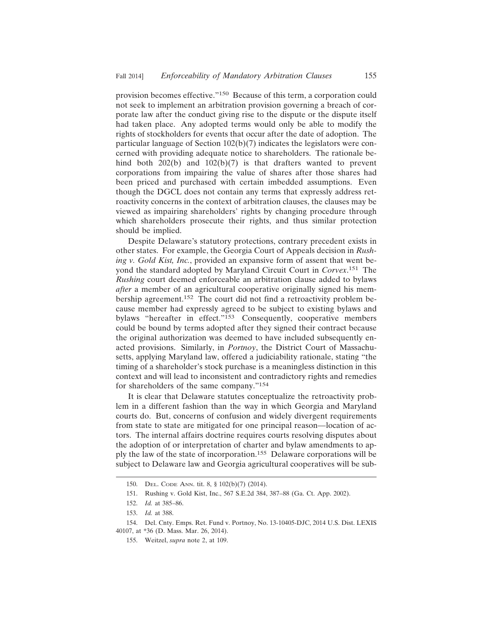provision becomes effective."150 Because of this term, a corporation could not seek to implement an arbitration provision governing a breach of corporate law after the conduct giving rise to the dispute or the dispute itself had taken place. Any adopted terms would only be able to modify the rights of stockholders for events that occur after the date of adoption. The particular language of Section 102(b)(7) indicates the legislators were concerned with providing adequate notice to shareholders. The rationale behind both 202(b) and 102(b)(7) is that drafters wanted to prevent corporations from impairing the value of shares after those shares had been priced and purchased with certain imbedded assumptions. Even though the DGCL does not contain any terms that expressly address retroactivity concerns in the context of arbitration clauses, the clauses may be viewed as impairing shareholders' rights by changing procedure through which shareholders prosecute their rights, and thus similar protection should be implied.

Despite Delaware's statutory protections, contrary precedent exists in other states. For example, the Georgia Court of Appeals decision in *Rushing v. Gold Kist, Inc.*, provided an expansive form of assent that went beyond the standard adopted by Maryland Circuit Court in *Corvex*. 151 The *Rushing* court deemed enforceable an arbitration clause added to bylaws *after* a member of an agricultural cooperative originally signed his membership agreement.152 The court did not find a retroactivity problem because member had expressly agreed to be subject to existing bylaws and bylaws "hereafter in effect."<sup>153</sup> Consequently, cooperative members could be bound by terms adopted after they signed their contract because the original authorization was deemed to have included subsequently enacted provisions. Similarly, in *Portnoy*, the District Court of Massachusetts, applying Maryland law, offered a judiciability rationale, stating "the timing of a shareholder's stock purchase is a meaningless distinction in this context and will lead to inconsistent and contradictory rights and remedies for shareholders of the same company."<sup>154</sup>

It is clear that Delaware statutes conceptualize the retroactivity problem in a different fashion than the way in which Georgia and Maryland courts do. But, concerns of confusion and widely divergent requirements from state to state are mitigated for one principal reason—location of actors. The internal affairs doctrine requires courts resolving disputes about the adoption of or interpretation of charter and bylaw amendments to apply the law of the state of incorporation.155 Delaware corporations will be subject to Delaware law and Georgia agricultural cooperatives will be sub-

<sup>150.</sup> DEL. CODE ANN. tit. 8, § 102(b)(7) (2014).

<sup>151.</sup> Rushing v. Gold Kist, Inc., 567 S.E.2d 384, 387–88 (Ga. Ct. App. 2002).

<sup>152.</sup> *Id.* at 385–86.

<sup>153.</sup> *Id.* at 388.

<sup>154.</sup> Del. Cnty. Emps. Ret. Fund v. Portnoy, No. 13-10405-DJC, 2014 U.S. Dist. LEXIS 40107, at \*36 (D. Mass. Mar. 26, 2014).

<sup>155.</sup> Weitzel, *supra* note 2, at 109.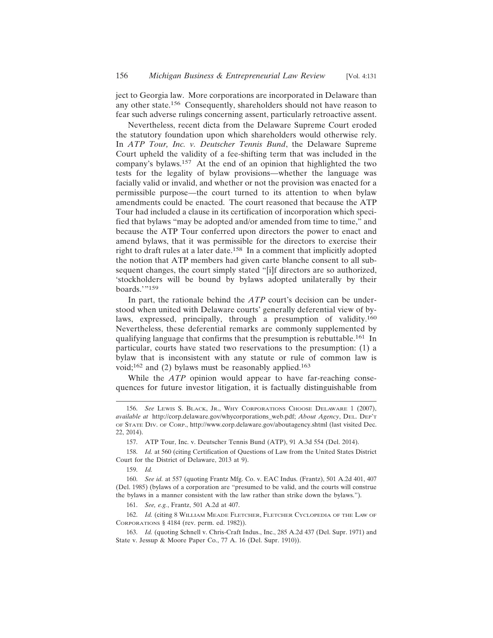ject to Georgia law. More corporations are incorporated in Delaware than any other state.156 Consequently, shareholders should not have reason to fear such adverse rulings concerning assent, particularly retroactive assent.

Nevertheless, recent dicta from the Delaware Supreme Court eroded the statutory foundation upon which shareholders would otherwise rely. In *ATP Tour, Inc. v. Deutscher Tennis Bund*, the Delaware Supreme Court upheld the validity of a fee-shifting term that was included in the company's bylaws.157 At the end of an opinion that highlighted the two tests for the legality of bylaw provisions—whether the language was facially valid or invalid, and whether or not the provision was enacted for a permissible purpose—the court turned to its attention to when bylaw amendments could be enacted. The court reasoned that because the ATP Tour had included a clause in its certification of incorporation which specified that bylaws "may be adopted and/or amended from time to time," and because the ATP Tour conferred upon directors the power to enact and amend bylaws, that it was permissible for the directors to exercise their right to draft rules at a later date.158 In a comment that implicitly adopted the notion that ATP members had given carte blanche consent to all subsequent changes, the court simply stated "[i]f directors are so authorized, 'stockholders will be bound by bylaws adopted unilaterally by their boards.'"<sup>159</sup>

In part, the rationale behind the *ATP* court's decision can be understood when united with Delaware courts' generally deferential view of bylaws, expressed, principally, through a presumption of validity.<sup>160</sup> Nevertheless, these deferential remarks are commonly supplemented by qualifying language that confirms that the presumption is rebuttable.161 In particular, courts have stated two reservations to the presumption: (1) a bylaw that is inconsistent with any statute or rule of common law is void;<sup>162</sup> and (2) bylaws must be reasonably applied.<sup>163</sup>

While the *ATP* opinion would appear to have far-reaching consequences for future investor litigation, it is factually distinguishable from

159. *Id.*

160. *See id.* at 557 (quoting Frantz Mfg. Co. v. EAC Indus. (Frantz), 501 A.2d 401, 407 (Del. 1985) (bylaws of a corporation are "presumed to be valid, and the courts will construe the bylaws in a manner consistent with the law rather than strike down the bylaws.").

161. *See, e.g.*, Frantz, 501 A.2d at 407.

162. *Id.* (citing 8 WILLIAM MEADE FLETCHER, FLETCHER CYCLOPEDIA OF THE LAW OF CORPORATIONS § 4184 (rev. perm. ed. 1982)).

163. *Id.* (quoting Schnell v. Chris-Craft Indus., Inc., 285 A.2d 437 (Del. Supr. 1971) and State v. Jessup & Moore Paper Co., 77 A. 16 (Del. Supr. 1910)).

<sup>156.</sup> *See* LEWIS S. BLACK, JR., WHY CORPORATIONS CHOOSE DELAWARE 1 (2007), *available at* http://corp.delaware.gov/whycorporations\_web.pdf; *About Agency*, DEL. DEP'T OF STATE DIV. OF CORP., http://www.corp.delaware.gov/aboutagency.shtml (last visited Dec. 22, 2014).

<sup>157.</sup> ATP Tour, Inc. v. Deutscher Tennis Bund (ATP), 91 A.3d 554 (Del. 2014).

<sup>158.</sup> *Id.* at 560 (citing Certification of Questions of Law from the United States District Court for the District of Delaware, 2013 at 9).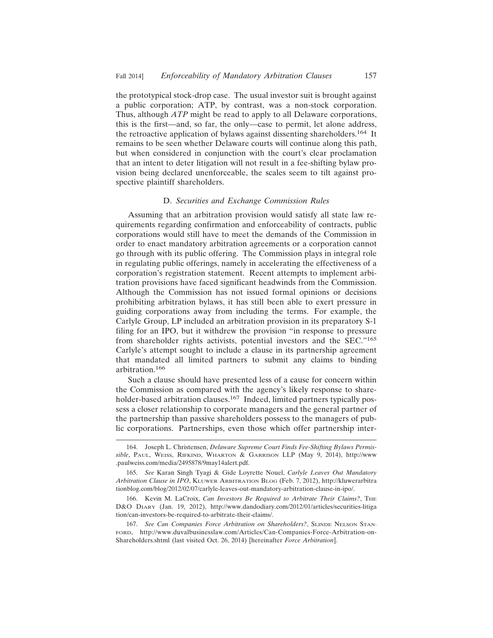the prototypical stock-drop case. The usual investor suit is brought against a public corporation; ATP, by contrast, was a non-stock corporation. Thus, although *ATP* might be read to apply to all Delaware corporations, this is the first—and, so far, the only—case to permit, let alone address, the retroactive application of bylaws against dissenting shareholders.<sup>164</sup> It remains to be seen whether Delaware courts will continue along this path, but when considered in conjunction with the court's clear proclamation that an intent to deter litigation will not result in a fee-shifting bylaw provision being declared unenforceable, the scales seem to tilt against prospective plaintiff shareholders.

## D. *Securities and Exchange Commission Rules*

Assuming that an arbitration provision would satisfy all state law requirements regarding confirmation and enforceability of contracts, public corporations would still have to meet the demands of the Commission in order to enact mandatory arbitration agreements or a corporation cannot go through with its public offering. The Commission plays in integral role in regulating public offerings, namely in accelerating the effectiveness of a corporation's registration statement. Recent attempts to implement arbitration provisions have faced significant headwinds from the Commission. Although the Commission has not issued formal opinions or decisions prohibiting arbitration bylaws, it has still been able to exert pressure in guiding corporations away from including the terms. For example, the Carlyle Group, LP included an arbitration provision in its preparatory S-1 filing for an IPO, but it withdrew the provision "in response to pressure from shareholder rights activists, potential investors and the SEC."<sup>165</sup> Carlyle's attempt sought to include a clause in its partnership agreement that mandated all limited partners to submit any claims to binding arbitration.166

Such a clause should have presented less of a cause for concern within the Commission as compared with the agency's likely response to shareholder-based arbitration clauses.<sup>167</sup> Indeed, limited partners typically possess a closer relationship to corporate managers and the general partner of the partnership than passive shareholders possess to the managers of public corporations. Partnerships, even those which offer partnership inter-

<sup>164.</sup> Joseph L. Christensen, *Delaware Supreme Court Finds Fee-Shifting Bylaws Permissible*, PAUL, WEISS, RIFKIND, WHARTON & GARRISON LLP (May 9, 2014), http://www .paulweiss.com/media/2495878/9may14alert.pdf.

<sup>165.</sup> *See* Karan Singh Tyagi & Gide Loyrette Nouel, *Carlyle Leaves Out Mandatory Arbitration Clause in IPO*, KLUWER ARBITRATION BLOG (Feb. 7, 2012), http://kluwerarbitra tionblog.com/blog/2012/02/07/carlyle-leaves-out-mandatory-arbitration-clause-in-ipo/.

<sup>166.</sup> Kevin M. LaCroix, *Can Investors Be Required to Arbitrate Their Claims?*, THE D&O DIARY (Jan. 19, 2012), http://www.dandodiary.com/2012/01/articles/securities-litiga tion/can-investors-be-required-to-arbitrate-their-claims/.

<sup>167.</sup> *See Can Companies Force Arbitration on Shareholders?*, SLINDE NELSON STAN-FORD, http://www.duvalbusinesslaw.com/Articles/Can-Companies-Force-Arbitration-on-Shareholders.shtml (last visited Oct. 26, 2014) [hereinafter *Force Arbitration*].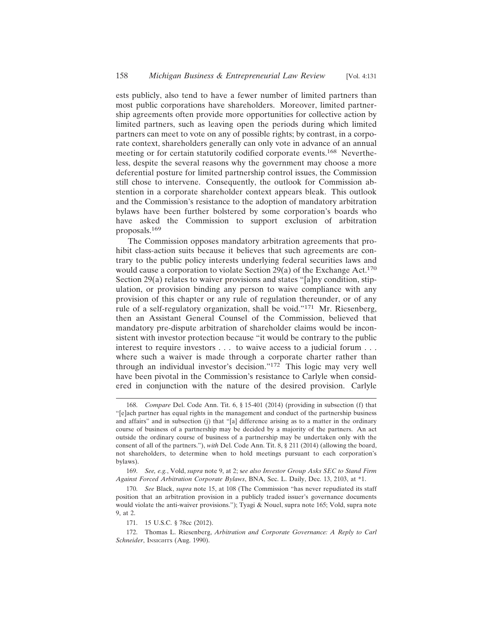ests publicly, also tend to have a fewer number of limited partners than most public corporations have shareholders. Moreover, limited partnership agreements often provide more opportunities for collective action by limited partners, such as leaving open the periods during which limited partners can meet to vote on any of possible rights; by contrast, in a corporate context, shareholders generally can only vote in advance of an annual meeting or for certain statutorily codified corporate events.168 Nevertheless, despite the several reasons why the government may choose a more deferential posture for limited partnership control issues, the Commission still chose to intervene. Consequently, the outlook for Commission abstention in a corporate shareholder context appears bleak. This outlook and the Commission's resistance to the adoption of mandatory arbitration bylaws have been further bolstered by some corporation's boards who have asked the Commission to support exclusion of arbitration proposals.<sup>169</sup>

The Commission opposes mandatory arbitration agreements that prohibit class-action suits because it believes that such agreements are contrary to the public policy interests underlying federal securities laws and would cause a corporation to violate Section 29(a) of the Exchange Act.<sup>170</sup> Section 29(a) relates to waiver provisions and states "[a]ny condition, stipulation, or provision binding any person to waive compliance with any provision of this chapter or any rule of regulation thereunder, or of any rule of a self-regulatory organization, shall be void."171 Mr. Riesenberg, then an Assistant General Counsel of the Commission, believed that mandatory pre-dispute arbitration of shareholder claims would be inconsistent with investor protection because "it would be contrary to the public interest to require investors . . . to waive access to a judicial forum . . . where such a waiver is made through a corporate charter rather than through an individual investor's decision."172 This logic may very well have been pivotal in the Commission's resistance to Carlyle when considered in conjunction with the nature of the desired provision. Carlyle

169. *See, e.g.*, Vold, *supra* note 9, at 2; s*ee also Investor Group Asks SEC to Stand Firm Against Forced Arbitration Corporate Bylaws*, BNA, Sec. L. Daily, Dec. 13, 2103, at \*1.

<sup>168.</sup> *Compare* Del. Code Ann. Tit. 6, § 15-401 (2014) (providing in subsection (f) that "[e]ach partner has equal rights in the management and conduct of the partnership business and affairs" and in subsection (j) that "[a] difference arising as to a matter in the ordinary course of business of a partnership may be decided by a majority of the partners. An act outside the ordinary course of business of a partnership may be undertaken only with the consent of all of the partners."), *with* Del. Code Ann. Tit. 8, § 211 (2014) (allowing the board, not shareholders, to determine when to hold meetings pursuant to each corporation's bylaws).

<sup>170.</sup> *See* Black, *supra* note 15, at 108 (The Commission "has never repudiated its staff position that an arbitration provision in a publicly traded issuer's governance documents would violate the anti-waiver provisions."); Tyagi & Nouel, supra note 165; Vold, supra note 9, at 2.

<sup>171. 15</sup> U.S.C. § 78cc (2012).

<sup>172.</sup> Thomas L. Riesenberg, *Arbitration and Corporate Governance: A Reply to Carl Schneider*, INSIGHTS (Aug. 1990).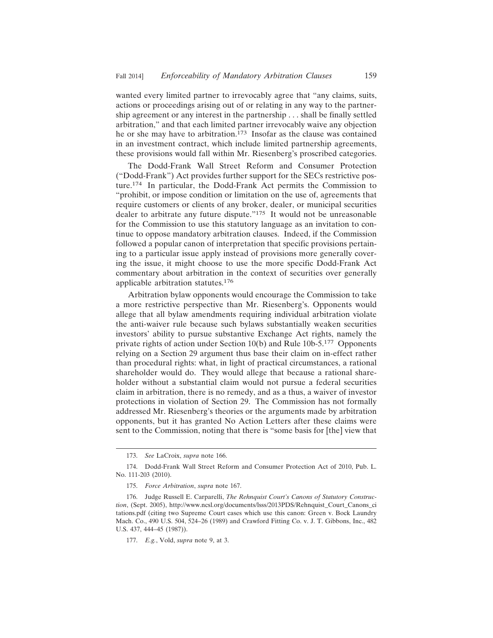wanted every limited partner to irrevocably agree that "any claims, suits, actions or proceedings arising out of or relating in any way to the partnership agreement or any interest in the partnership . . . shall be finally settled arbitration," and that each limited partner irrevocably waive any objection he or she may have to arbitration.<sup>173</sup> Insofar as the clause was contained in an investment contract, which include limited partnership agreements, these provisions would fall within Mr. Riesenberg's proscribed categories.

The Dodd-Frank Wall Street Reform and Consumer Protection ("Dodd-Frank") Act provides further support for the SECs restrictive posture.174 In particular, the Dodd-Frank Act permits the Commission to "prohibit, or impose condition or limitation on the use of, agreements that require customers or clients of any broker, dealer, or municipal securities dealer to arbitrate any future dispute."175 It would not be unreasonable for the Commission to use this statutory language as an invitation to continue to oppose mandatory arbitration clauses. Indeed, if the Commission followed a popular canon of interpretation that specific provisions pertaining to a particular issue apply instead of provisions more generally covering the issue, it might choose to use the more specific Dodd-Frank Act commentary about arbitration in the context of securities over generally applicable arbitration statutes.<sup>176</sup>

Arbitration bylaw opponents would encourage the Commission to take a more restrictive perspective than Mr. Riesenberg's. Opponents would allege that all bylaw amendments requiring individual arbitration violate the anti-waiver rule because such bylaws substantially weaken securities investors' ability to pursue substantive Exchange Act rights, namely the private rights of action under Section 10(b) and Rule 10b-5.177 Opponents relying on a Section 29 argument thus base their claim on in-effect rather than procedural rights: what, in light of practical circumstances, a rational shareholder would do. They would allege that because a rational shareholder without a substantial claim would not pursue a federal securities claim in arbitration, there is no remedy, and as a thus, a waiver of investor protections in violation of Section 29. The Commission has not formally addressed Mr. Riesenberg's theories or the arguments made by arbitration opponents, but it has granted No Action Letters after these claims were sent to the Commission, noting that there is "some basis for [the] view that

<sup>173.</sup> *See* LaCroix, *supra* note 166.

<sup>174.</sup> Dodd-Frank Wall Street Reform and Consumer Protection Act of 2010, Pub. L. No. 111-203 (2010).

<sup>175.</sup> *Force Arbitration*, *supra* note 167.

<sup>176.</sup> Judge Russell E. Carparelli, *The Rehnquist Court's Canons of Statutory Construction*, (Sept. 2005), http://www.ncsl.org/documents/lsss/2013PDS/Rehnquist\_Court\_Canons\_ci tations.pdf (citing two Supreme Court cases which use this canon: Green v. Bock Laundry Mach. Co., 490 U.S. 504, 524–26 (1989) and Crawford Fitting Co. v. J. T. Gibbons, Inc., 482 U.S. 437, 444–45 (1987)).

<sup>177.</sup> *E.g.*, Vold, *supra* note 9, at 3.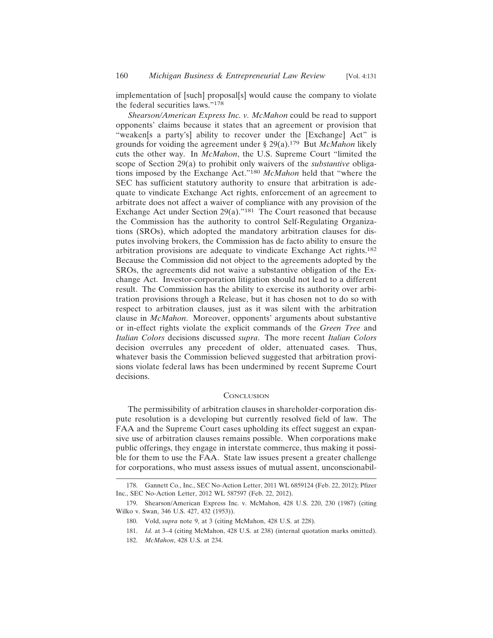implementation of [such] proposal[s] would cause the company to violate the federal securities laws."<sup>178</sup>

*Shearson/American Express Inc. v. McMahon* could be read to support opponents' claims because it states that an agreement or provision that "weaken[s a party's] ability to recover under the [Exchange] Act" is grounds for voiding the agreement under § 29(a).179 But *McMahon* likely cuts the other way. In *McMahon*, the U.S. Supreme Court "limited the scope of Section 29(a) to prohibit only waivers of the *substantive* obligations imposed by the Exchange Act."<sup>180</sup> *McMahon* held that "where the SEC has sufficient statutory authority to ensure that arbitration is adequate to vindicate Exchange Act rights, enforcement of an agreement to arbitrate does not affect a waiver of compliance with any provision of the Exchange Act under Section 29(a)."181 The Court reasoned that because the Commission has the authority to control Self-Regulating Organizations (SROs), which adopted the mandatory arbitration clauses for disputes involving brokers, the Commission has de facto ability to ensure the arbitration provisions are adequate to vindicate Exchange Act rights.<sup>182</sup> Because the Commission did not object to the agreements adopted by the SROs, the agreements did not waive a substantive obligation of the Exchange Act. Investor-corporation litigation should not lead to a different result. The Commission has the ability to exercise its authority over arbitration provisions through a Release, but it has chosen not to do so with respect to arbitration clauses, just as it was silent with the arbitration clause in *McMahon*. Moreover, opponents' arguments about substantive or in-effect rights violate the explicit commands of the *Green Tree* and *Italian Colors* decisions discussed *supra*. The more recent *Italian Colors* decision overrules any precedent of older, attenuated cases. Thus, whatever basis the Commission believed suggested that arbitration provisions violate federal laws has been undermined by recent Supreme Court decisions.

#### **CONCLUSION**

The permissibility of arbitration clauses in shareholder-corporation dispute resolution is a developing but currently resolved field of law. The FAA and the Supreme Court cases upholding its effect suggest an expansive use of arbitration clauses remains possible. When corporations make public offerings, they engage in interstate commerce, thus making it possible for them to use the FAA. State law issues present a greater challenge for corporations, who must assess issues of mutual assent, unconscionabil-

<sup>178.</sup> Gannett Co., Inc., SEC No-Action Letter, 2011 WL 6859124 (Feb. 22, 2012); Pfizer Inc., SEC No-Action Letter, 2012 WL 587597 (Feb. 22, 2012).

<sup>179.</sup> Shearson/American Express Inc. v. McMahon, 428 U.S. 220, 230 (1987) (citing Wilko v. Swan, 346 U.S. 427, 432 (1953)).

<sup>180.</sup> Vold, *supra* note 9, at 3 (citing McMahon, 428 U.S. at 228).

<sup>181.</sup> *Id.* at 3–4 (citing McMahon, 428 U.S. at 238) (internal quotation marks omitted).

<sup>182.</sup> *McMahon*, 428 U.S. at 234.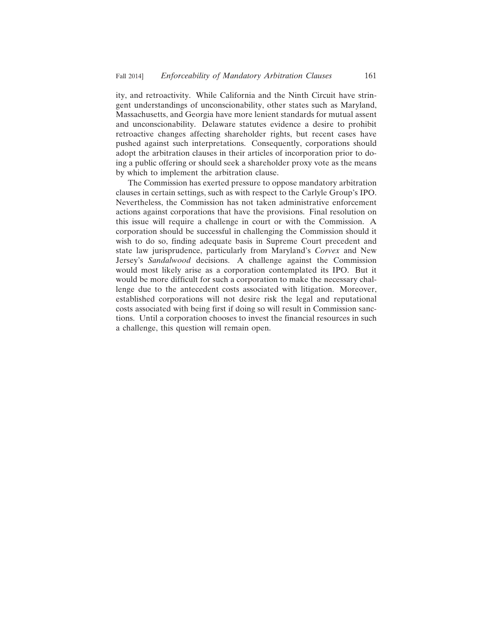ity, and retroactivity. While California and the Ninth Circuit have stringent understandings of unconscionability, other states such as Maryland, Massachusetts, and Georgia have more lenient standards for mutual assent and unconscionability. Delaware statutes evidence a desire to prohibit retroactive changes affecting shareholder rights, but recent cases have pushed against such interpretations. Consequently, corporations should adopt the arbitration clauses in their articles of incorporation prior to doing a public offering or should seek a shareholder proxy vote as the means by which to implement the arbitration clause.

The Commission has exerted pressure to oppose mandatory arbitration clauses in certain settings, such as with respect to the Carlyle Group's IPO. Nevertheless, the Commission has not taken administrative enforcement actions against corporations that have the provisions. Final resolution on this issue will require a challenge in court or with the Commission. A corporation should be successful in challenging the Commission should it wish to do so, finding adequate basis in Supreme Court precedent and state law jurisprudence, particularly from Maryland's *Corvex* and New Jersey's *Sandalwood* decisions. A challenge against the Commission would most likely arise as a corporation contemplated its IPO. But it would be more difficult for such a corporation to make the necessary challenge due to the antecedent costs associated with litigation. Moreover, established corporations will not desire risk the legal and reputational costs associated with being first if doing so will result in Commission sanctions. Until a corporation chooses to invest the financial resources in such a challenge, this question will remain open.